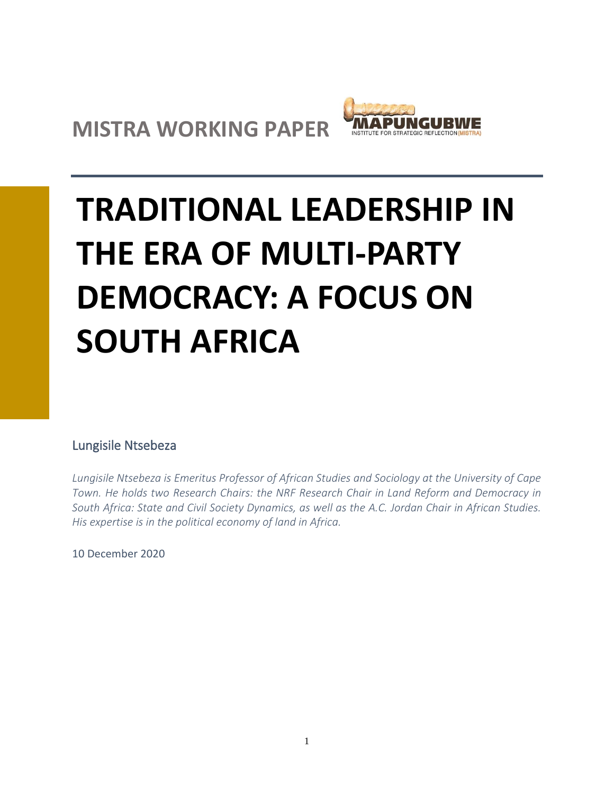

# **TRADITIONAL LEADERSHIP IN THE ERA OF MULTI-PARTY DEMOCRACY: A FOCUS ON SOUTH AFRICA**

# Lungisile Ntsebeza

*Lungisile Ntsebeza is Emeritus Professor of African Studies and Sociology at the University of Cape Town. He holds two Research Chairs: the NRF Research Chair in Land Reform and Democracy in South Africa: State and Civil Society Dynamics, as well as the A.C. Jordan Chair in African Studies. His expertise is in the political economy of land in Africa.*

10 December 2020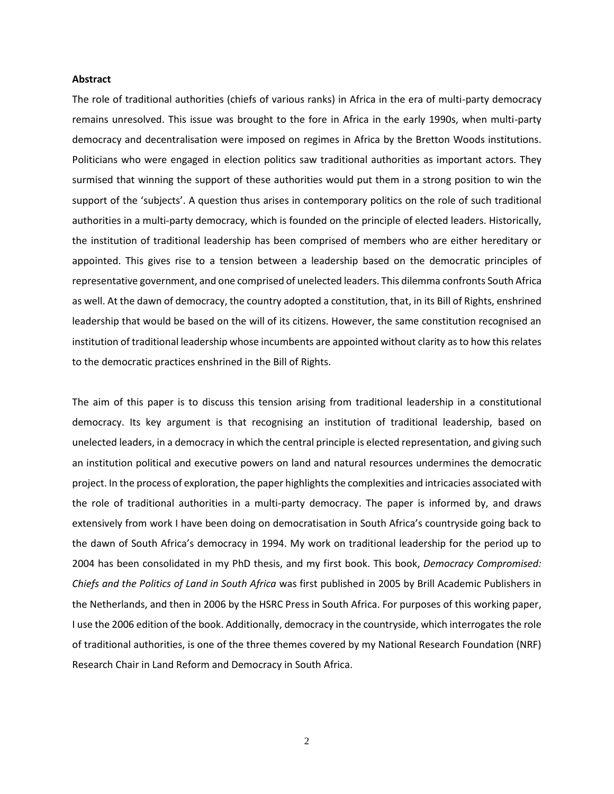#### **Abstract**

The role of traditional authorities (chiefs of various ranks) in Africa in the era of multi-party democracy remains unresolved. This issue was brought to the fore in Africa in the early 1990s, when multi-party democracy and decentralisation were imposed on regimes in Africa by the Bretton Woods institutions. Politicians who were engaged in election politics saw traditional authorities as important actors. They surmised that winning the support of these authorities would put them in a strong position to win the support of the 'subjects'. A question thus arises in contemporary politics on the role of such traditional authorities in a multi-party democracy, which is founded on the principle of elected leaders. Historically, the institution of traditional leadership has been comprised of members who are either hereditary or appointed. This gives rise to a tension between a leadership based on the democratic principles of representative government, and one comprised of unelected leaders. This dilemma confronts South Africa as well. At the dawn of democracy, the country adopted a constitution, that, in its Bill of Rights, enshrined leadership that would be based on the will of its citizens. However, the same constitution recognised an institution of traditional leadership whose incumbents are appointed without clarity asto how this relates to the democratic practices enshrined in the Bill of Rights.

The aim of this paper is to discuss this tension arising from traditional leadership in a constitutional democracy. Its key argument is that recognising an institution of traditional leadership, based on unelected leaders, in a democracy in which the central principle is elected representation, and giving such an institution political and executive powers on land and natural resources undermines the democratic project. In the process of exploration, the paper highlights the complexities and intricacies associated with the role of traditional authorities in a multi-party democracy. The paper is informed by, and draws extensively from work I have been doing on democratisation in South Africa's countryside going back to the dawn of South Africa's democracy in 1994. My work on traditional leadership for the period up to 2004 has been consolidated in my PhD thesis, and my first book. This book, *Democracy Compromised: Chiefs and the Politics of Land in South Africa* was first published in 2005 by Brill Academic Publishers in the Netherlands, and then in 2006 by the HSRC Press in South Africa. For purposes of this working paper, I use the 2006 edition of the book. Additionally, democracy in the countryside, which interrogates the role of traditional authorities, is one of the three themes covered by my National Research Foundation (NRF) Research Chair in Land Reform and Democracy in South Africa.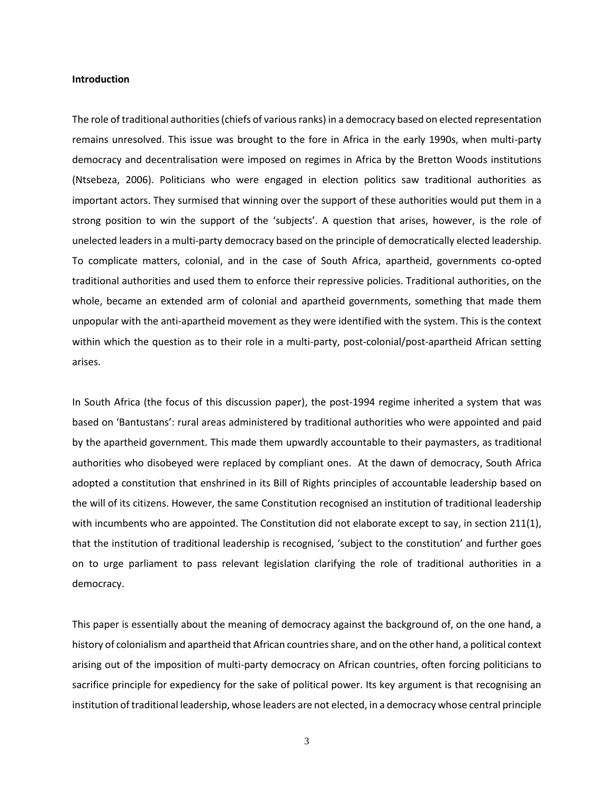#### **Introduction**

The role of traditional authorities (chiefs of various ranks) in a democracy based on elected representation remains unresolved. This issue was brought to the fore in Africa in the early 1990s, when multi-party democracy and decentralisation were imposed on regimes in Africa by the Bretton Woods institutions (Ntsebeza, 2006). Politicians who were engaged in election politics saw traditional authorities as important actors. They surmised that winning over the support of these authorities would put them in a strong position to win the support of the 'subjects'. A question that arises, however, is the role of unelected leaders in a multi-party democracy based on the principle of democratically elected leadership. To complicate matters, colonial, and in the case of South Africa, apartheid, governments co-opted traditional authorities and used them to enforce their repressive policies. Traditional authorities, on the whole, became an extended arm of colonial and apartheid governments, something that made them unpopular with the anti-apartheid movement as they were identified with the system. This is the context within which the question as to their role in a multi-party, post-colonial/post-apartheid African setting arises.

In South Africa (the focus of this discussion paper), the post-1994 regime inherited a system that was based on 'Bantustans': rural areas administered by traditional authorities who were appointed and paid by the apartheid government. This made them upwardly accountable to their paymasters, as traditional authorities who disobeyed were replaced by compliant ones. At the dawn of democracy, South Africa adopted a constitution that enshrined in its Bill of Rights principles of accountable leadership based on the will of its citizens. However, the same Constitution recognised an institution of traditional leadership with incumbents who are appointed. The Constitution did not elaborate except to say, in section 211(1), that the institution of traditional leadership is recognised, 'subject to the constitution' and further goes on to urge parliament to pass relevant legislation clarifying the role of traditional authorities in a democracy.

This paper is essentially about the meaning of democracy against the background of, on the one hand, a history of colonialism and apartheid that African countries share, and on the other hand, a political context arising out of the imposition of multi-party democracy on African countries, often forcing politicians to sacrifice principle for expediency for the sake of political power. Its key argument is that recognising an institution of traditional leadership, whose leaders are not elected, in a democracy whose central principle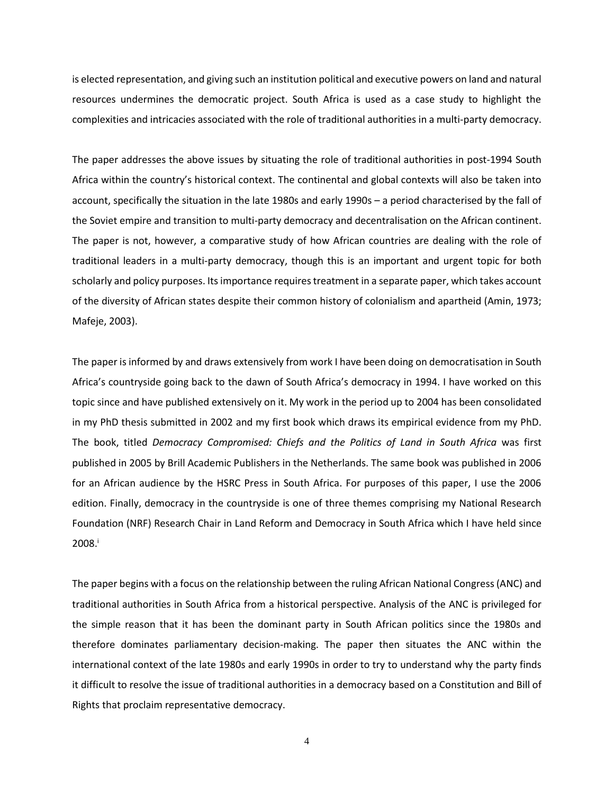is elected representation, and giving such an institution political and executive powers on land and natural resources undermines the democratic project. South Africa is used as a case study to highlight the complexities and intricacies associated with the role of traditional authorities in a multi-party democracy.

The paper addresses the above issues by situating the role of traditional authorities in post-1994 South Africa within the country's historical context. The continental and global contexts will also be taken into account, specifically the situation in the late 1980s and early 1990s – a period characterised by the fall of the Soviet empire and transition to multi-party democracy and decentralisation on the African continent. The paper is not, however, a comparative study of how African countries are dealing with the role of traditional leaders in a multi-party democracy, though this is an important and urgent topic for both scholarly and policy purposes. Its importance requires treatment in a separate paper, which takes account of the diversity of African states despite their common history of colonialism and apartheid (Amin, 1973; Mafeje, 2003).

The paper is informed by and draws extensively from work I have been doing on democratisation in South Africa's countryside going back to the dawn of South Africa's democracy in 1994. I have worked on this topic since and have published extensively on it. My work in the period up to 2004 has been consolidated in my PhD thesis submitted in 2002 and my first book which draws its empirical evidence from my PhD. The book, titled *Democracy Compromised: Chiefs and the Politics of Land in South Africa* was first published in 2005 by Brill Academic Publishers in the Netherlands. The same book was published in 2006 for an African audience by the HSRC Press in South Africa. For purposes of this paper, I use the 2006 edition. Finally, democracy in the countryside is one of three themes comprising my National Research Foundation (NRF) Research Chair in Land Reform and Democracy in South Africa which I have held since 2008.<sup>i</sup>

The paper begins with a focus on the relationship between the ruling African National Congress (ANC) and traditional authorities in South Africa from a historical perspective. Analysis of the ANC is privileged for the simple reason that it has been the dominant party in South African politics since the 1980s and therefore dominates parliamentary decision-making. The paper then situates the ANC within the international context of the late 1980s and early 1990s in order to try to understand why the party finds it difficult to resolve the issue of traditional authorities in a democracy based on a Constitution and Bill of Rights that proclaim representative democracy.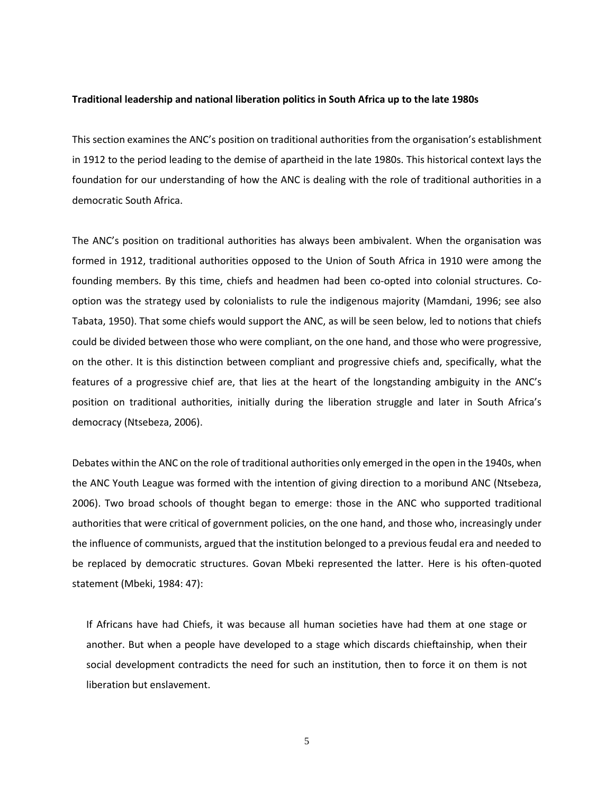#### **Traditional leadership and national liberation politics in South Africa up to the late 1980s**

This section examines the ANC's position on traditional authorities from the organisation's establishment in 1912 to the period leading to the demise of apartheid in the late 1980s. This historical context lays the foundation for our understanding of how the ANC is dealing with the role of traditional authorities in a democratic South Africa.

The ANC's position on traditional authorities has always been ambivalent. When the organisation was formed in 1912, traditional authorities opposed to the Union of South Africa in 1910 were among the founding members. By this time, chiefs and headmen had been co-opted into colonial structures. Cooption was the strategy used by colonialists to rule the indigenous majority (Mamdani, 1996; see also Tabata, 1950). That some chiefs would support the ANC, as will be seen below, led to notions that chiefs could be divided between those who were compliant, on the one hand, and those who were progressive, on the other. It is this distinction between compliant and progressive chiefs and, specifically, what the features of a progressive chief are, that lies at the heart of the longstanding ambiguity in the ANC's position on traditional authorities, initially during the liberation struggle and later in South Africa's democracy (Ntsebeza, 2006).

Debates within the ANC on the role of traditional authorities only emerged in the open in the 1940s, when the ANC Youth League was formed with the intention of giving direction to a moribund ANC (Ntsebeza, 2006). Two broad schools of thought began to emerge: those in the ANC who supported traditional authorities that were critical of government policies, on the one hand, and those who, increasingly under the influence of communists, argued that the institution belonged to a previous feudal era and needed to be replaced by democratic structures. Govan Mbeki represented the latter. Here is his often-quoted statement (Mbeki, 1984: 47):

If Africans have had Chiefs, it was because all human societies have had them at one stage or another. But when a people have developed to a stage which discards chieftainship, when their social development contradicts the need for such an institution, then to force it on them is not liberation but enslavement.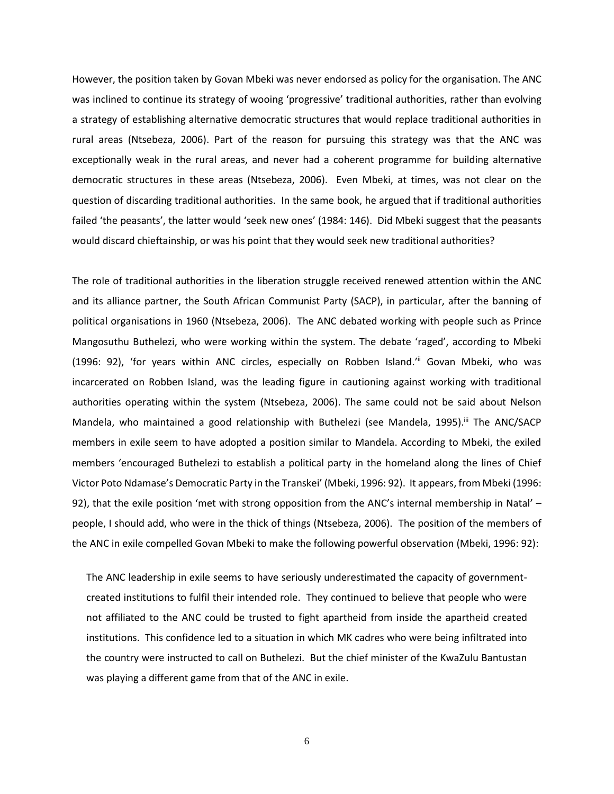However, the position taken by Govan Mbeki was never endorsed as policy for the organisation. The ANC was inclined to continue its strategy of wooing 'progressive' traditional authorities, rather than evolving a strategy of establishing alternative democratic structures that would replace traditional authorities in rural areas (Ntsebeza, 2006). Part of the reason for pursuing this strategy was that the ANC was exceptionally weak in the rural areas, and never had a coherent programme for building alternative democratic structures in these areas (Ntsebeza, 2006). Even Mbeki, at times, was not clear on the question of discarding traditional authorities. In the same book, he argued that if traditional authorities failed 'the peasants', the latter would 'seek new ones' (1984: 146). Did Mbeki suggest that the peasants would discard chieftainship, or was his point that they would seek new traditional authorities?

The role of traditional authorities in the liberation struggle received renewed attention within the ANC and its alliance partner, the South African Communist Party (SACP), in particular, after the banning of political organisations in 1960 (Ntsebeza, 2006). The ANC debated working with people such as Prince Mangosuthu Buthelezi, who were working within the system. The debate 'raged', according to Mbeki (1996: 92), 'for years within ANC circles, especially on Robben Island.'i Govan Mbeki, who was incarcerated on Robben Island, was the leading figure in cautioning against working with traditional authorities operating within the system (Ntsebeza, 2006). The same could not be said about Nelson Mandela, who maintained a good relationship with Buthelezi (see Mandela, 1995). ii The ANC/SACP members in exile seem to have adopted a position similar to Mandela. According to Mbeki, the exiled members 'encouraged Buthelezi to establish a political party in the homeland along the lines of Chief Victor Poto Ndamase's Democratic Party in the Transkei' (Mbeki, 1996: 92). It appears, from Mbeki (1996: 92), that the exile position 'met with strong opposition from the ANC's internal membership in Natal' – people, I should add, who were in the thick of things (Ntsebeza, 2006). The position of the members of the ANC in exile compelled Govan Mbeki to make the following powerful observation (Mbeki, 1996: 92):

The ANC leadership in exile seems to have seriously underestimated the capacity of governmentcreated institutions to fulfil their intended role. They continued to believe that people who were not affiliated to the ANC could be trusted to fight apartheid from inside the apartheid created institutions. This confidence led to a situation in which MK cadres who were being infiltrated into the country were instructed to call on Buthelezi. But the chief minister of the KwaZulu Bantustan was playing a different game from that of the ANC in exile.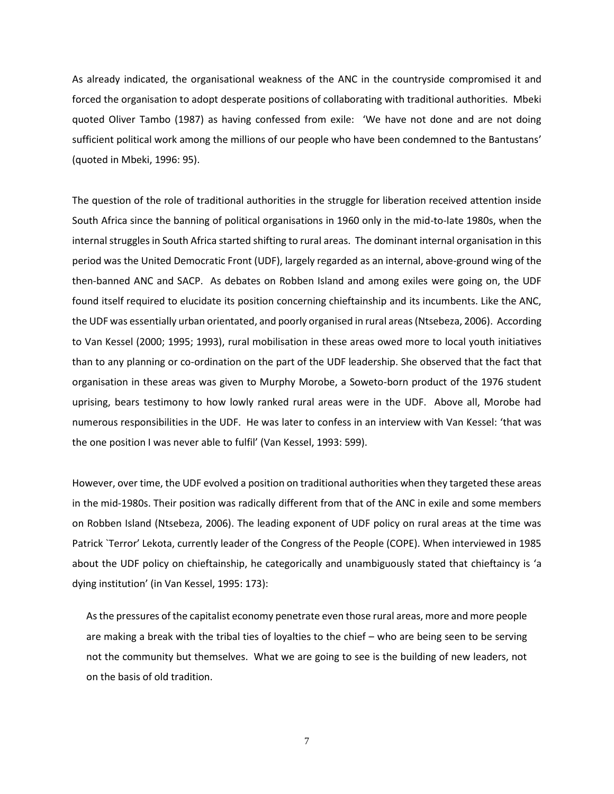As already indicated, the organisational weakness of the ANC in the countryside compromised it and forced the organisation to adopt desperate positions of collaborating with traditional authorities. Mbeki quoted Oliver Tambo (1987) as having confessed from exile: 'We have not done and are not doing sufficient political work among the millions of our people who have been condemned to the Bantustans' (quoted in Mbeki, 1996: 95).

The question of the role of traditional authorities in the struggle for liberation received attention inside South Africa since the banning of political organisations in 1960 only in the mid-to-late 1980s, when the internal struggles in South Africa started shifting to rural areas. The dominant internal organisation in this period was the United Democratic Front (UDF), largely regarded as an internal, above-ground wing of the then-banned ANC and SACP. As debates on Robben Island and among exiles were going on, the UDF found itself required to elucidate its position concerning chieftainship and its incumbents. Like the ANC, the UDF was essentially urban orientated, and poorly organised in rural areas(Ntsebeza, 2006). According to Van Kessel (2000; 1995; 1993), rural mobilisation in these areas owed more to local youth initiatives than to any planning or co-ordination on the part of the UDF leadership. She observed that the fact that organisation in these areas was given to Murphy Morobe, a Soweto-born product of the 1976 student uprising, bears testimony to how lowly ranked rural areas were in the UDF. Above all, Morobe had numerous responsibilities in the UDF. He was later to confess in an interview with Van Kessel: 'that was the one position I was never able to fulfil' (Van Kessel, 1993: 599).

However, over time, the UDF evolved a position on traditional authorities when they targeted these areas in the mid-1980s. Their position was radically different from that of the ANC in exile and some members on Robben Island (Ntsebeza, 2006). The leading exponent of UDF policy on rural areas at the time was Patrick `Terror' Lekota, currently leader of the Congress of the People (COPE). When interviewed in 1985 about the UDF policy on chieftainship, he categorically and unambiguously stated that chieftaincy is 'a dying institution' (in Van Kessel, 1995: 173):

As the pressures of the capitalist economy penetrate even those rural areas, more and more people are making a break with the tribal ties of loyalties to the chief – who are being seen to be serving not the community but themselves. What we are going to see is the building of new leaders, not on the basis of old tradition.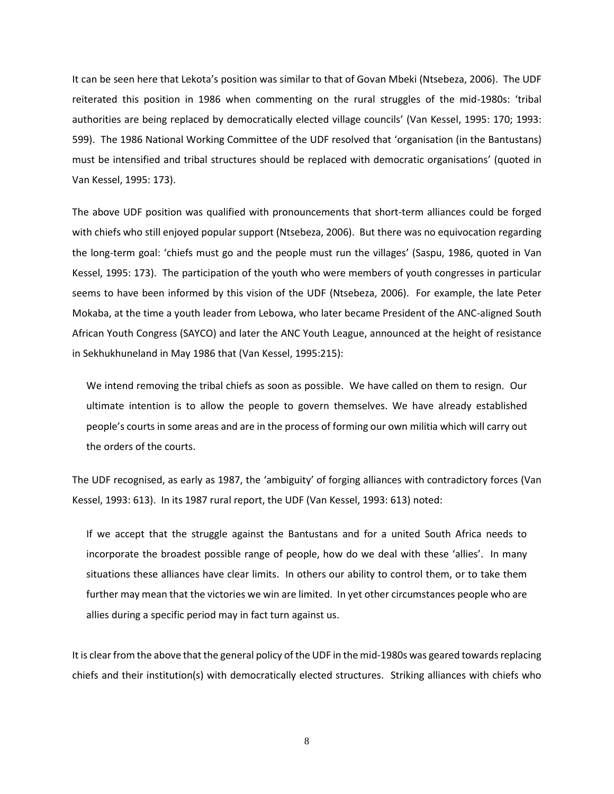It can be seen here that Lekota's position was similar to that of Govan Mbeki (Ntsebeza, 2006). The UDF reiterated this position in 1986 when commenting on the rural struggles of the mid-1980s: 'tribal authorities are being replaced by democratically elected village councils' (Van Kessel, 1995: 170; 1993: 599). The 1986 National Working Committee of the UDF resolved that 'organisation (in the Bantustans) must be intensified and tribal structures should be replaced with democratic organisations' (quoted in Van Kessel, 1995: 173).

The above UDF position was qualified with pronouncements that short-term alliances could be forged with chiefs who still enjoyed popular support (Ntsebeza, 2006). But there was no equivocation regarding the long-term goal: 'chiefs must go and the people must run the villages' (Saspu, 1986, quoted in Van Kessel, 1995: 173). The participation of the youth who were members of youth congresses in particular seems to have been informed by this vision of the UDF (Ntsebeza, 2006). For example, the late Peter Mokaba, at the time a youth leader from Lebowa, who later became President of the ANC-aligned South African Youth Congress (SAYCO) and later the ANC Youth League, announced at the height of resistance in Sekhukhuneland in May 1986 that (Van Kessel, 1995:215):

We intend removing the tribal chiefs as soon as possible. We have called on them to resign. Our ultimate intention is to allow the people to govern themselves. We have already established people's courts in some areas and are in the process of forming our own militia which will carry out the orders of the courts.

The UDF recognised, as early as 1987, the 'ambiguity' of forging alliances with contradictory forces (Van Kessel, 1993: 613). In its 1987 rural report, the UDF (Van Kessel, 1993: 613) noted:

If we accept that the struggle against the Bantustans and for a united South Africa needs to incorporate the broadest possible range of people, how do we deal with these 'allies'. In many situations these alliances have clear limits. In others our ability to control them, or to take them further may mean that the victories we win are limited. In yet other circumstances people who are allies during a specific period may in fact turn against us.

It is clear from the above that the general policy of the UDF in the mid-1980s was geared towards replacing chiefs and their institution(s) with democratically elected structures. Striking alliances with chiefs who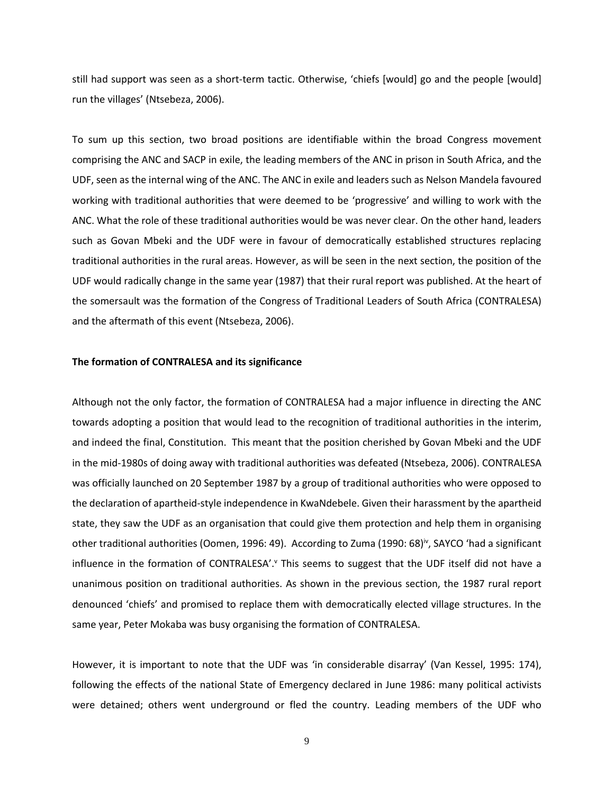still had support was seen as a short-term tactic. Otherwise, 'chiefs [would] go and the people [would] run the villages' (Ntsebeza, 2006).

To sum up this section, two broad positions are identifiable within the broad Congress movement comprising the ANC and SACP in exile, the leading members of the ANC in prison in South Africa, and the UDF, seen as the internal wing of the ANC. The ANC in exile and leaders such as Nelson Mandela favoured working with traditional authorities that were deemed to be 'progressive' and willing to work with the ANC. What the role of these traditional authorities would be was never clear. On the other hand, leaders such as Govan Mbeki and the UDF were in favour of democratically established structures replacing traditional authorities in the rural areas. However, as will be seen in the next section, the position of the UDF would radically change in the same year (1987) that their rural report was published. At the heart of the somersault was the formation of the Congress of Traditional Leaders of South Africa (CONTRALESA) and the aftermath of this event (Ntsebeza, 2006).

#### **The formation of CONTRALESA and its significance**

Although not the only factor, the formation of CONTRALESA had a major influence in directing the ANC towards adopting a position that would lead to the recognition of traditional authorities in the interim, and indeed the final, Constitution. This meant that the position cherished by Govan Mbeki and the UDF in the mid-1980s of doing away with traditional authorities was defeated (Ntsebeza, 2006). CONTRALESA was officially launched on 20 September 1987 by a group of traditional authorities who were opposed to the declaration of apartheid-style independence in KwaNdebele. Given their harassment by the apartheid state, they saw the UDF as an organisation that could give them protection and help them in organising other traditional authorities (Oomen, 1996: 49). According to Zuma (1990: 68)<sup>iv</sup>, SAYCO 'had a significant influence in the formation of CONTRALESA'.<sup>v</sup> This seems to suggest that the UDF itself did not have a unanimous position on traditional authorities. As shown in the previous section, the 1987 rural report denounced 'chiefs' and promised to replace them with democratically elected village structures. In the same year, Peter Mokaba was busy organising the formation of CONTRALESA.

However, it is important to note that the UDF was 'in considerable disarray' (Van Kessel, 1995: 174), following the effects of the national State of Emergency declared in June 1986: many political activists were detained; others went underground or fled the country. Leading members of the UDF who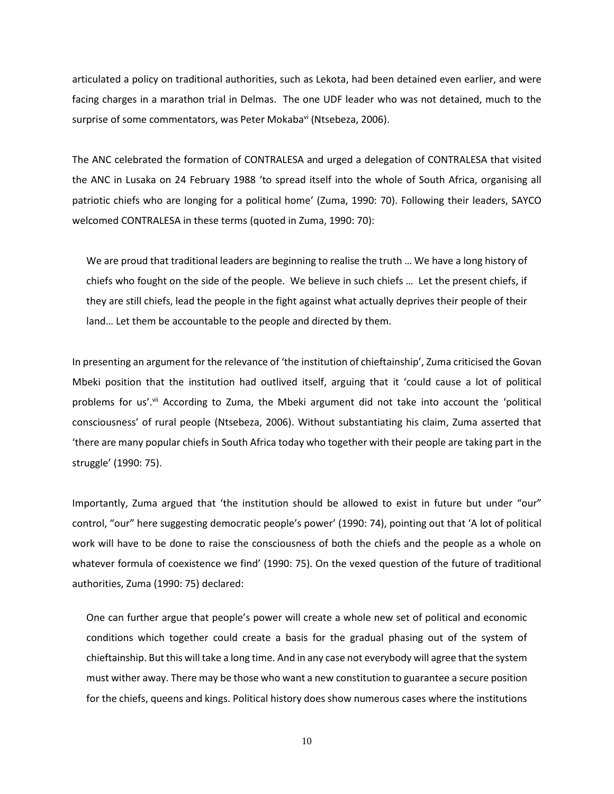articulated a policy on traditional authorities, such as Lekota, had been detained even earlier, and were facing charges in a marathon trial in Delmas. The one UDF leader who was not detained, much to the surprise of some commentators, was Peter Mokaba<sup>vi</sup> (Ntsebeza, 2006).

The ANC celebrated the formation of CONTRALESA and urged a delegation of CONTRALESA that visited the ANC in Lusaka on 24 February 1988 'to spread itself into the whole of South Africa, organising all patriotic chiefs who are longing for a political home' (Zuma, 1990: 70). Following their leaders, SAYCO welcomed CONTRALESA in these terms (quoted in Zuma, 1990: 70):

We are proud that traditional leaders are beginning to realise the truth … We have a long history of chiefs who fought on the side of the people. We believe in such chiefs … Let the present chiefs, if they are still chiefs, lead the people in the fight against what actually deprives their people of their land… Let them be accountable to the people and directed by them.

In presenting an argument for the relevance of 'the institution of chieftainship', Zuma criticised the Govan Mbeki position that the institution had outlived itself, arguing that it 'could cause a lot of political problems for us'.<sup>vii</sup> According to Zuma, the Mbeki argument did not take into account the 'political consciousness' of rural people (Ntsebeza, 2006). Without substantiating his claim, Zuma asserted that 'there are many popular chiefs in South Africa today who together with their people are taking part in the struggle' (1990: 75).

Importantly, Zuma argued that 'the institution should be allowed to exist in future but under "our" control, "our" here suggesting democratic people's power' (1990: 74), pointing out that 'A lot of political work will have to be done to raise the consciousness of both the chiefs and the people as a whole on whatever formula of coexistence we find' (1990: 75). On the vexed question of the future of traditional authorities, Zuma (1990: 75) declared:

One can further argue that people's power will create a whole new set of political and economic conditions which together could create a basis for the gradual phasing out of the system of chieftainship. But this will take a long time. And in any case not everybody will agree that the system must wither away. There may be those who want a new constitution to guarantee a secure position for the chiefs, queens and kings. Political history does show numerous cases where the institutions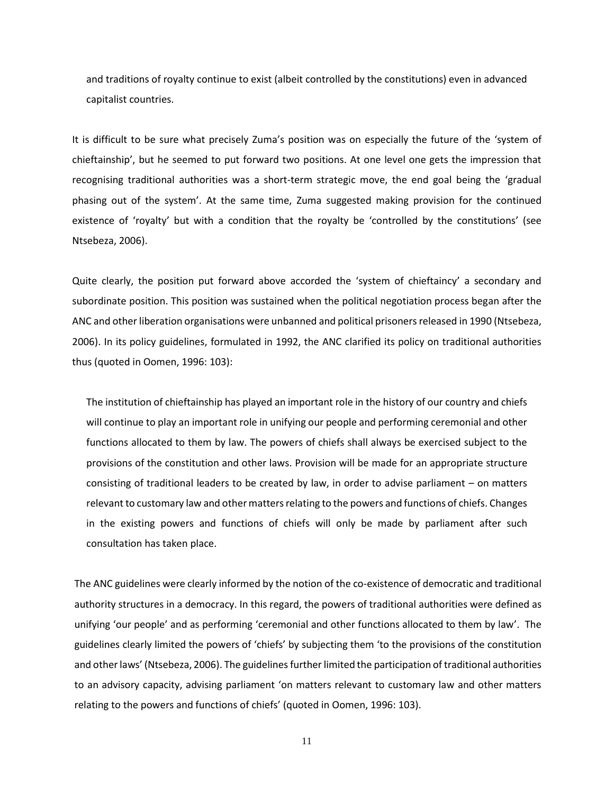and traditions of royalty continue to exist (albeit controlled by the constitutions) even in advanced capitalist countries.

It is difficult to be sure what precisely Zuma's position was on especially the future of the 'system of chieftainship', but he seemed to put forward two positions. At one level one gets the impression that recognising traditional authorities was a short-term strategic move, the end goal being the 'gradual phasing out of the system'. At the same time, Zuma suggested making provision for the continued existence of 'royalty' but with a condition that the royalty be 'controlled by the constitutions' (see Ntsebeza, 2006).

Quite clearly, the position put forward above accorded the 'system of chieftaincy' a secondary and subordinate position. This position was sustained when the political negotiation process began after the ANC and other liberation organisations were unbanned and political prisoners released in 1990 (Ntsebeza, 2006). In its policy guidelines, formulated in 1992, the ANC clarified its policy on traditional authorities thus (quoted in Oomen, 1996: 103):

The institution of chieftainship has played an important role in the history of our country and chiefs will continue to play an important role in unifying our people and performing ceremonial and other functions allocated to them by law. The powers of chiefs shall always be exercised subject to the provisions of the constitution and other laws. Provision will be made for an appropriate structure consisting of traditional leaders to be created by law, in order to advise parliament – on matters relevant to customary law and other matters relating to the powers and functions of chiefs. Changes in the existing powers and functions of chiefs will only be made by parliament after such consultation has taken place.

The ANC guidelines were clearly informed by the notion of the co-existence of democratic and traditional authority structures in a democracy. In this regard, the powers of traditional authorities were defined as unifying 'our people' and as performing 'ceremonial and other functions allocated to them by law'. The guidelines clearly limited the powers of 'chiefs' by subjecting them 'to the provisions of the constitution and other laws' (Ntsebeza, 2006). The guidelines further limited the participation of traditional authorities to an advisory capacity, advising parliament 'on matters relevant to customary law and other matters relating to the powers and functions of chiefs' (quoted in Oomen, 1996: 103).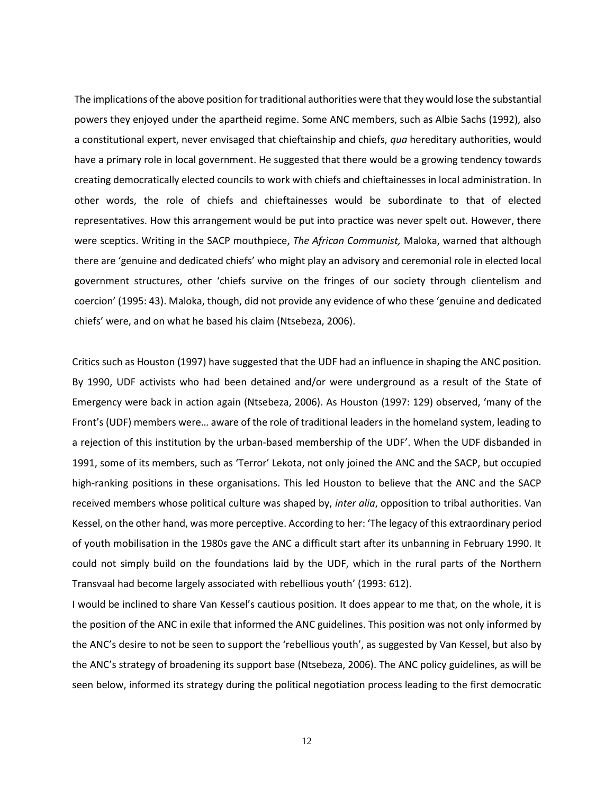The implications of the above position for traditional authorities were that they would lose the substantial powers they enjoyed under the apartheid regime. Some ANC members, such as Albie Sachs (1992), also a constitutional expert, never envisaged that chieftainship and chiefs, *qua* hereditary authorities, would have a primary role in local government. He suggested that there would be a growing tendency towards creating democratically elected councils to work with chiefs and chieftainesses in local administration. In other words, the role of chiefs and chieftainesses would be subordinate to that of elected representatives. How this arrangement would be put into practice was never spelt out. However, there were sceptics. Writing in the SACP mouthpiece, *The African Communist,* Maloka, warned that although there are 'genuine and dedicated chiefs' who might play an advisory and ceremonial role in elected local government structures, other 'chiefs survive on the fringes of our society through clientelism and coercion' (1995: 43). Maloka, though, did not provide any evidence of who these 'genuine and dedicated chiefs' were, and on what he based his claim (Ntsebeza, 2006).

Critics such as Houston (1997) have suggested that the UDF had an influence in shaping the ANC position. By 1990, UDF activists who had been detained and/or were underground as a result of the State of Emergency were back in action again (Ntsebeza, 2006). As Houston (1997: 129) observed, 'many of the Front's (UDF) members were… aware of the role of traditional leaders in the homeland system, leading to a rejection of this institution by the urban-based membership of the UDF'. When the UDF disbanded in 1991, some of its members, such as 'Terror' Lekota, not only joined the ANC and the SACP, but occupied high-ranking positions in these organisations. This led Houston to believe that the ANC and the SACP received members whose political culture was shaped by, *inter alia*, opposition to tribal authorities. Van Kessel, on the other hand, was more perceptive. According to her: 'The legacy of this extraordinary period of youth mobilisation in the 1980s gave the ANC a difficult start after its unbanning in February 1990. It could not simply build on the foundations laid by the UDF, which in the rural parts of the Northern Transvaal had become largely associated with rebellious youth' (1993: 612).

I would be inclined to share Van Kessel's cautious position. It does appear to me that, on the whole, it is the position of the ANC in exile that informed the ANC guidelines. This position was not only informed by the ANC's desire to not be seen to support the 'rebellious youth', as suggested by Van Kessel, but also by the ANC's strategy of broadening its support base (Ntsebeza, 2006). The ANC policy guidelines, as will be seen below, informed its strategy during the political negotiation process leading to the first democratic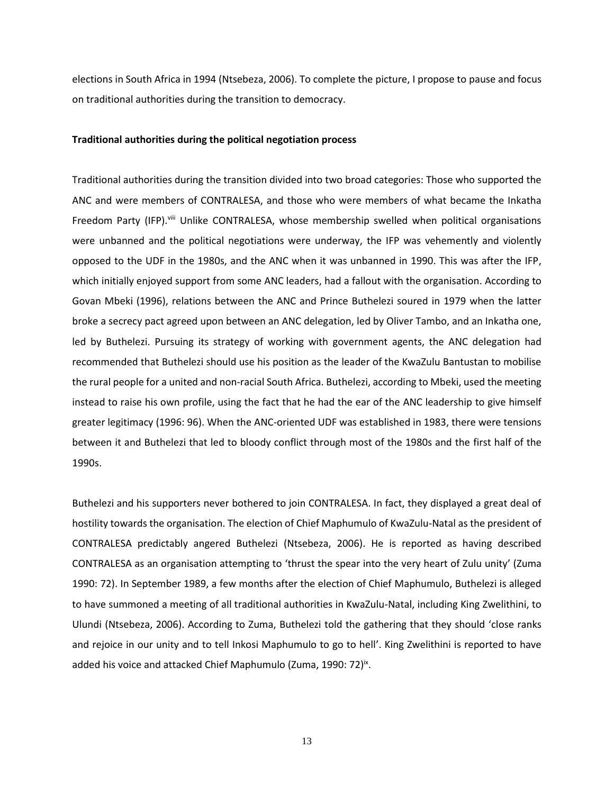elections in South Africa in 1994 (Ntsebeza, 2006). To complete the picture, I propose to pause and focus on traditional authorities during the transition to democracy.

#### **Traditional authorities during the political negotiation process**

Traditional authorities during the transition divided into two broad categories: Those who supported the ANC and were members of CONTRALESA, and those who were members of what became the Inkatha Freedom Party (IFP). Viii Unlike CONTRALESA, whose membership swelled when political organisations were unbanned and the political negotiations were underway, the IFP was vehemently and violently opposed to the UDF in the 1980s, and the ANC when it was unbanned in 1990. This was after the IFP, which initially enjoyed support from some ANC leaders, had a fallout with the organisation. According to Govan Mbeki (1996), relations between the ANC and Prince Buthelezi soured in 1979 when the latter broke a secrecy pact agreed upon between an ANC delegation, led by Oliver Tambo, and an Inkatha one, led by Buthelezi. Pursuing its strategy of working with government agents, the ANC delegation had recommended that Buthelezi should use his position as the leader of the KwaZulu Bantustan to mobilise the rural people for a united and non-racial South Africa. Buthelezi, according to Mbeki, used the meeting instead to raise his own profile, using the fact that he had the ear of the ANC leadership to give himself greater legitimacy (1996: 96). When the ANC-oriented UDF was established in 1983, there were tensions between it and Buthelezi that led to bloody conflict through most of the 1980s and the first half of the 1990s.

Buthelezi and his supporters never bothered to join CONTRALESA. In fact, they displayed a great deal of hostility towards the organisation. The election of Chief Maphumulo of KwaZulu-Natal as the president of CONTRALESA predictably angered Buthelezi (Ntsebeza, 2006). He is reported as having described CONTRALESA as an organisation attempting to 'thrust the spear into the very heart of Zulu unity' (Zuma 1990: 72). In September 1989, a few months after the election of Chief Maphumulo, Buthelezi is alleged to have summoned a meeting of all traditional authorities in KwaZulu-Natal, including King Zwelithini, to Ulundi (Ntsebeza, 2006). According to Zuma, Buthelezi told the gathering that they should 'close ranks and rejoice in our unity and to tell Inkosi Maphumulo to go to hell'. King Zwelithini is reported to have added his voice and attacked Chief Maphumulo (Zuma, 1990: 72)<sup>ix</sup>.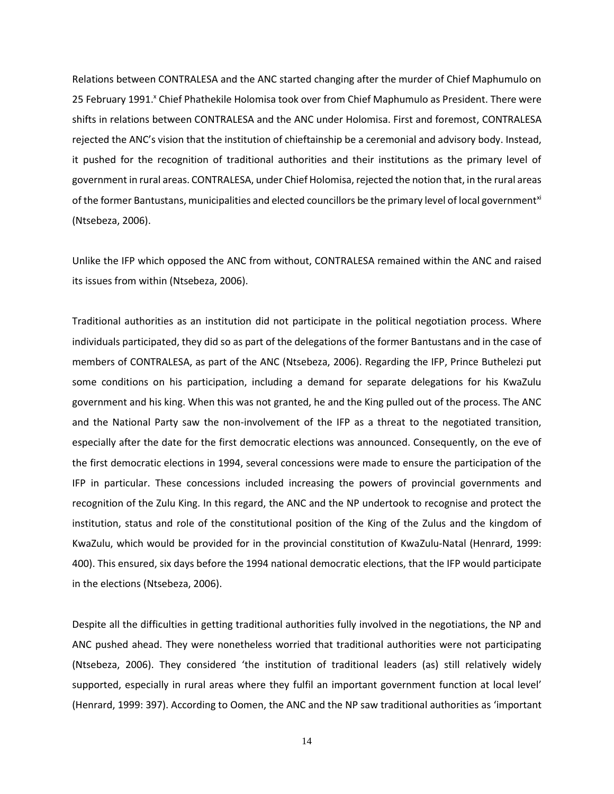Relations between CONTRALESA and the ANC started changing after the murder of Chief Maphumulo on 25 February 1991.<sup>x</sup> Chief Phathekile Holomisa took over from Chief Maphumulo as President. There were shifts in relations between CONTRALESA and the ANC under Holomisa. First and foremost, CONTRALESA rejected the ANC's vision that the institution of chieftainship be a ceremonial and advisory body. Instead, it pushed for the recognition of traditional authorities and their institutions as the primary level of government in rural areas. CONTRALESA, under Chief Holomisa, rejected the notion that, in the rural areas of the former Bantustans, municipalities and elected councillors be the primary level of local government<sup>xi</sup> (Ntsebeza, 2006).

Unlike the IFP which opposed the ANC from without, CONTRALESA remained within the ANC and raised its issues from within (Ntsebeza, 2006).

Traditional authorities as an institution did not participate in the political negotiation process. Where individuals participated, they did so as part of the delegations of the former Bantustans and in the case of members of CONTRALESA, as part of the ANC (Ntsebeza, 2006). Regarding the IFP, Prince Buthelezi put some conditions on his participation, including a demand for separate delegations for his KwaZulu government and his king. When this was not granted, he and the King pulled out of the process. The ANC and the National Party saw the non-involvement of the IFP as a threat to the negotiated transition, especially after the date for the first democratic elections was announced. Consequently, on the eve of the first democratic elections in 1994, several concessions were made to ensure the participation of the IFP in particular. These concessions included increasing the powers of provincial governments and recognition of the Zulu King. In this regard, the ANC and the NP undertook to recognise and protect the institution, status and role of the constitutional position of the King of the Zulus and the kingdom of KwaZulu, which would be provided for in the provincial constitution of KwaZulu-Natal (Henrard, 1999: 400). This ensured, six days before the 1994 national democratic elections, that the IFP would participate in the elections (Ntsebeza, 2006).

Despite all the difficulties in getting traditional authorities fully involved in the negotiations, the NP and ANC pushed ahead. They were nonetheless worried that traditional authorities were not participating (Ntsebeza, 2006). They considered 'the institution of traditional leaders (as) still relatively widely supported, especially in rural areas where they fulfil an important government function at local level' (Henrard, 1999: 397). According to Oomen, the ANC and the NP saw traditional authorities as 'important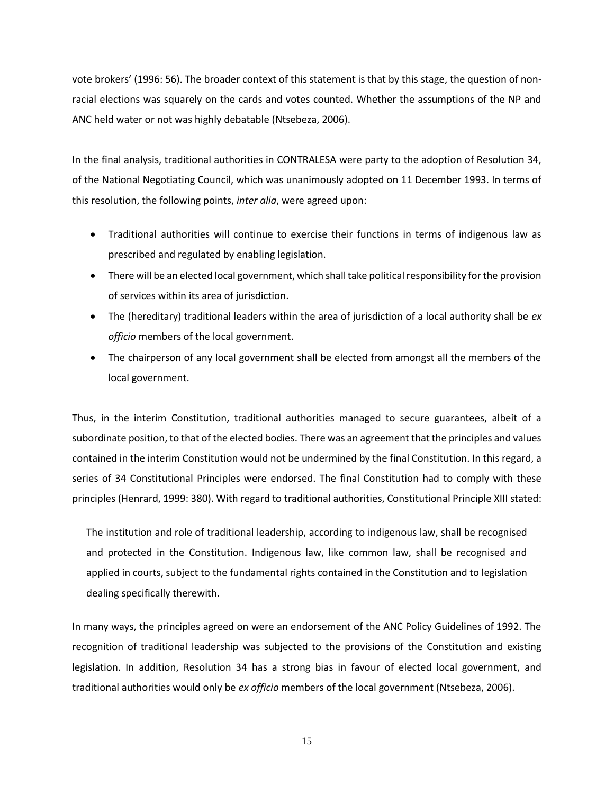vote brokers' (1996: 56). The broader context of this statement is that by this stage, the question of nonracial elections was squarely on the cards and votes counted. Whether the assumptions of the NP and ANC held water or not was highly debatable (Ntsebeza, 2006).

In the final analysis, traditional authorities in CONTRALESA were party to the adoption of Resolution 34, of the National Negotiating Council, which was unanimously adopted on 11 December 1993. In terms of this resolution, the following points, *inter alia*, were agreed upon:

- Traditional authorities will continue to exercise their functions in terms of indigenous law as prescribed and regulated by enabling legislation.
- There will be an elected local government, which shall take political responsibility for the provision of services within its area of jurisdiction.
- The (hereditary) traditional leaders within the area of jurisdiction of a local authority shall be *ex officio* members of the local government.
- The chairperson of any local government shall be elected from amongst all the members of the local government.

Thus, in the interim Constitution, traditional authorities managed to secure guarantees, albeit of a subordinate position, to that of the elected bodies. There was an agreement that the principles and values contained in the interim Constitution would not be undermined by the final Constitution. In this regard, a series of 34 Constitutional Principles were endorsed. The final Constitution had to comply with these principles (Henrard, 1999: 380). With regard to traditional authorities, Constitutional Principle XIII stated:

The institution and role of traditional leadership, according to indigenous law, shall be recognised and protected in the Constitution. Indigenous law, like common law, shall be recognised and applied in courts, subject to the fundamental rights contained in the Constitution and to legislation dealing specifically therewith.

In many ways, the principles agreed on were an endorsement of the ANC Policy Guidelines of 1992. The recognition of traditional leadership was subjected to the provisions of the Constitution and existing legislation. In addition, Resolution 34 has a strong bias in favour of elected local government, and traditional authorities would only be *ex officio* members of the local government (Ntsebeza, 2006).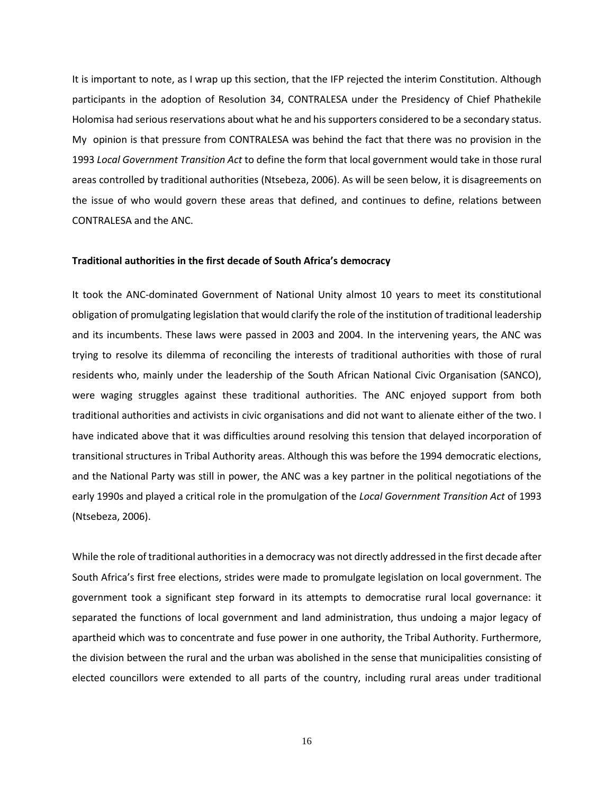It is important to note, as I wrap up this section, that the IFP rejected the interim Constitution. Although participants in the adoption of Resolution 34, CONTRALESA under the Presidency of Chief Phathekile Holomisa had serious reservations about what he and his supporters considered to be a secondary status. My opinion is that pressure from CONTRALESA was behind the fact that there was no provision in the 1993 *Local Government Transition Act* to define the form that local government would take in those rural areas controlled by traditional authorities (Ntsebeza, 2006). As will be seen below, it is disagreements on the issue of who would govern these areas that defined, and continues to define, relations between CONTRALESA and the ANC.

### **Traditional authorities in the first decade of South Africa's democracy**

It took the ANC-dominated Government of National Unity almost 10 years to meet its constitutional obligation of promulgating legislation that would clarify the role of the institution of traditional leadership and its incumbents. These laws were passed in 2003 and 2004. In the intervening years, the ANC was trying to resolve its dilemma of reconciling the interests of traditional authorities with those of rural residents who, mainly under the leadership of the South African National Civic Organisation (SANCO), were waging struggles against these traditional authorities. The ANC enjoyed support from both traditional authorities and activists in civic organisations and did not want to alienate either of the two. I have indicated above that it was difficulties around resolving this tension that delayed incorporation of transitional structures in Tribal Authority areas. Although this was before the 1994 democratic elections, and the National Party was still in power, the ANC was a key partner in the political negotiations of the early 1990s and played a critical role in the promulgation of the *Local Government Transition Act* of 1993 (Ntsebeza, 2006).

While the role of traditional authorities in a democracy was not directly addressed in the first decade after South Africa's first free elections, strides were made to promulgate legislation on local government. The government took a significant step forward in its attempts to democratise rural local governance: it separated the functions of local government and land administration, thus undoing a major legacy of apartheid which was to concentrate and fuse power in one authority, the Tribal Authority. Furthermore, the division between the rural and the urban was abolished in the sense that municipalities consisting of elected councillors were extended to all parts of the country, including rural areas under traditional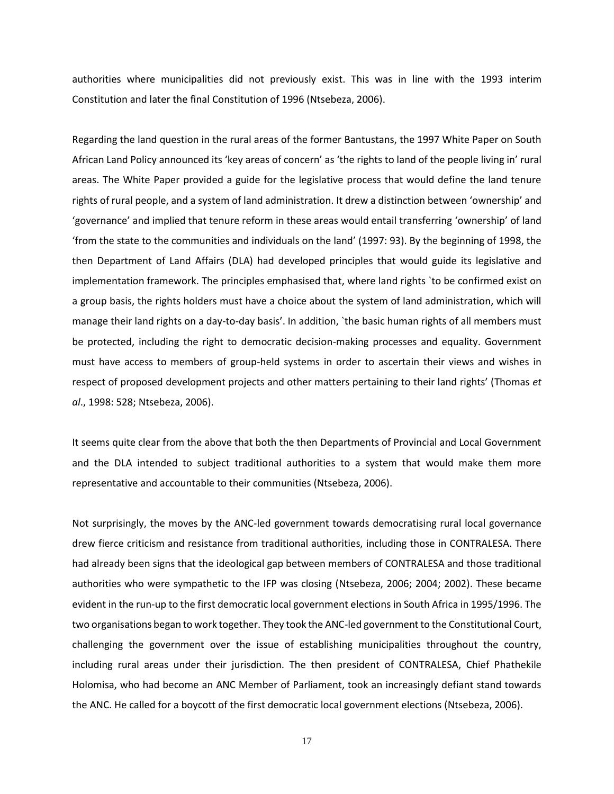authorities where municipalities did not previously exist. This was in line with the 1993 interim Constitution and later the final Constitution of 1996 (Ntsebeza, 2006).

Regarding the land question in the rural areas of the former Bantustans, the 1997 White Paper on South African Land Policy announced its 'key areas of concern' as 'the rights to land of the people living in' rural areas. The White Paper provided a guide for the legislative process that would define the land tenure rights of rural people, and a system of land administration. It drew a distinction between 'ownership' and 'governance' and implied that tenure reform in these areas would entail transferring 'ownership' of land 'from the state to the communities and individuals on the land' (1997: 93). By the beginning of 1998, the then Department of Land Affairs (DLA) had developed principles that would guide its legislative and implementation framework. The principles emphasised that, where land rights `to be confirmed exist on a group basis, the rights holders must have a choice about the system of land administration, which will manage their land rights on a day-to-day basis'. In addition, `the basic human rights of all members must be protected, including the right to democratic decision-making processes and equality. Government must have access to members of group-held systems in order to ascertain their views and wishes in respect of proposed development projects and other matters pertaining to their land rights' (Thomas *et al*., 1998: 528; Ntsebeza, 2006).

It seems quite clear from the above that both the then Departments of Provincial and Local Government and the DLA intended to subject traditional authorities to a system that would make them more representative and accountable to their communities (Ntsebeza, 2006).

Not surprisingly, the moves by the ANC-led government towards democratising rural local governance drew fierce criticism and resistance from traditional authorities, including those in CONTRALESA. There had already been signs that the ideological gap between members of CONTRALESA and those traditional authorities who were sympathetic to the IFP was closing (Ntsebeza, 2006; 2004; 2002). These became evident in the run-up to the first democratic local government elections in South Africa in 1995/1996. The two organisations began to work together. They took the ANC-led government to the Constitutional Court, challenging the government over the issue of establishing municipalities throughout the country, including rural areas under their jurisdiction. The then president of CONTRALESA, Chief Phathekile Holomisa, who had become an ANC Member of Parliament, took an increasingly defiant stand towards the ANC. He called for a boycott of the first democratic local government elections (Ntsebeza, 2006).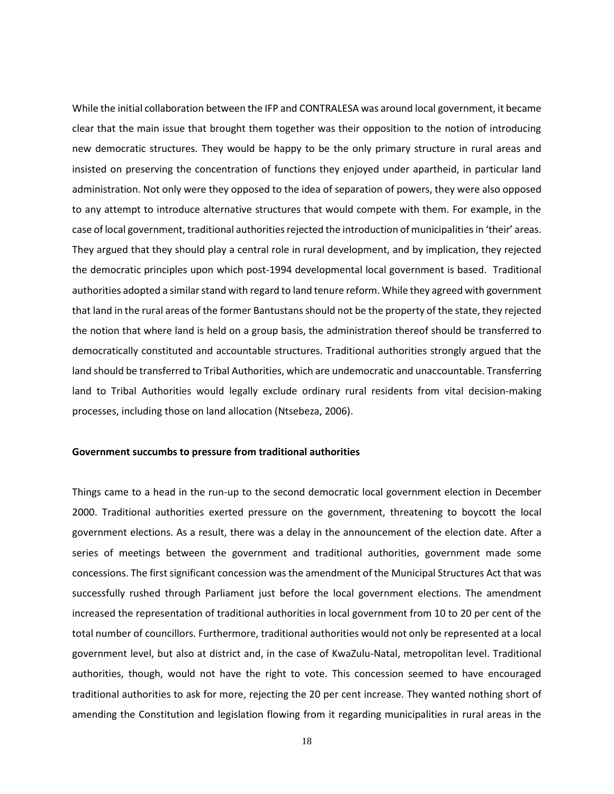While the initial collaboration between the IFP and CONTRALESA was around local government, it became clear that the main issue that brought them together was their opposition to the notion of introducing new democratic structures. They would be happy to be the only primary structure in rural areas and insisted on preserving the concentration of functions they enjoyed under apartheid, in particular land administration. Not only were they opposed to the idea of separation of powers, they were also opposed to any attempt to introduce alternative structures that would compete with them. For example, in the case of local government, traditional authorities rejected the introduction of municipalities in 'their' areas. They argued that they should play a central role in rural development, and by implication, they rejected the democratic principles upon which post-1994 developmental local government is based. Traditional authorities adopted a similar stand with regard to land tenure reform. While they agreed with government that land in the rural areas of the former Bantustans should not be the property of the state, they rejected the notion that where land is held on a group basis, the administration thereof should be transferred to democratically constituted and accountable structures. Traditional authorities strongly argued that the land should be transferred to Tribal Authorities, which are undemocratic and unaccountable. Transferring land to Tribal Authorities would legally exclude ordinary rural residents from vital decision-making processes, including those on land allocation (Ntsebeza, 2006).

### **Government succumbs to pressure from traditional authorities**

Things came to a head in the run-up to the second democratic local government election in December 2000. Traditional authorities exerted pressure on the government, threatening to boycott the local government elections. As a result, there was a delay in the announcement of the election date. After a series of meetings between the government and traditional authorities, government made some concessions. The first significant concession was the amendment of the Municipal Structures Act that was successfully rushed through Parliament just before the local government elections. The amendment increased the representation of traditional authorities in local government from 10 to 20 per cent of the total number of councillors. Furthermore, traditional authorities would not only be represented at a local government level, but also at district and, in the case of KwaZulu-Natal, metropolitan level. Traditional authorities, though, would not have the right to vote. This concession seemed to have encouraged traditional authorities to ask for more, rejecting the 20 per cent increase. They wanted nothing short of amending the Constitution and legislation flowing from it regarding municipalities in rural areas in the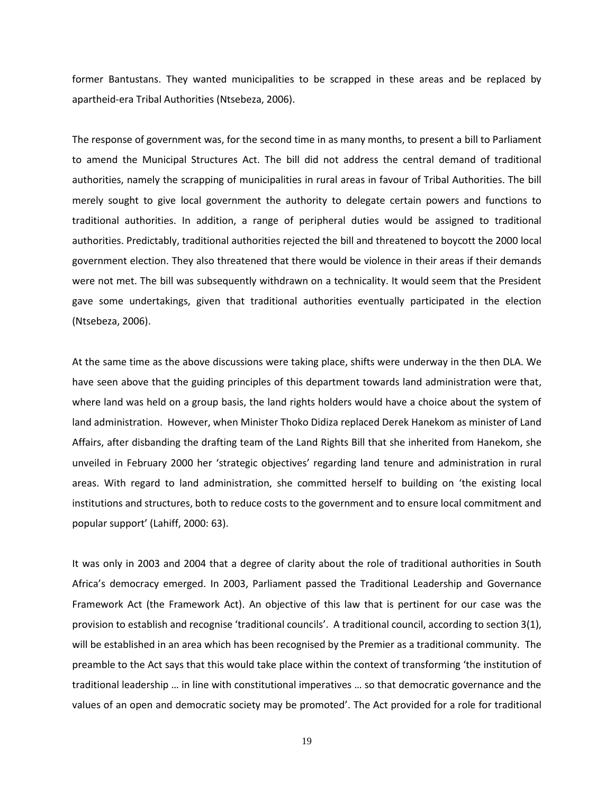former Bantustans. They wanted municipalities to be scrapped in these areas and be replaced by apartheid-era Tribal Authorities (Ntsebeza, 2006).

The response of government was, for the second time in as many months, to present a bill to Parliament to amend the Municipal Structures Act. The bill did not address the central demand of traditional authorities, namely the scrapping of municipalities in rural areas in favour of Tribal Authorities. The bill merely sought to give local government the authority to delegate certain powers and functions to traditional authorities. In addition, a range of peripheral duties would be assigned to traditional authorities. Predictably, traditional authorities rejected the bill and threatened to boycott the 2000 local government election. They also threatened that there would be violence in their areas if their demands were not met. The bill was subsequently withdrawn on a technicality. It would seem that the President gave some undertakings, given that traditional authorities eventually participated in the election (Ntsebeza, 2006).

At the same time as the above discussions were taking place, shifts were underway in the then DLA. We have seen above that the guiding principles of this department towards land administration were that, where land was held on a group basis, the land rights holders would have a choice about the system of land administration. However, when Minister Thoko Didiza replaced Derek Hanekom as minister of Land Affairs, after disbanding the drafting team of the Land Rights Bill that she inherited from Hanekom, she unveiled in February 2000 her 'strategic objectives' regarding land tenure and administration in rural areas. With regard to land administration, she committed herself to building on 'the existing local institutions and structures, both to reduce costs to the government and to ensure local commitment and popular support' (Lahiff, 2000: 63).

It was only in 2003 and 2004 that a degree of clarity about the role of traditional authorities in South Africa's democracy emerged. In 2003, Parliament passed the Traditional Leadership and Governance Framework Act (the Framework Act). An objective of this law that is pertinent for our case was the provision to establish and recognise 'traditional councils'. A traditional council, according to section 3(1), will be established in an area which has been recognised by the Premier as a traditional community. The preamble to the Act says that this would take place within the context of transforming 'the institution of traditional leadership … in line with constitutional imperatives … so that democratic governance and the values of an open and democratic society may be promoted'. The Act provided for a role for traditional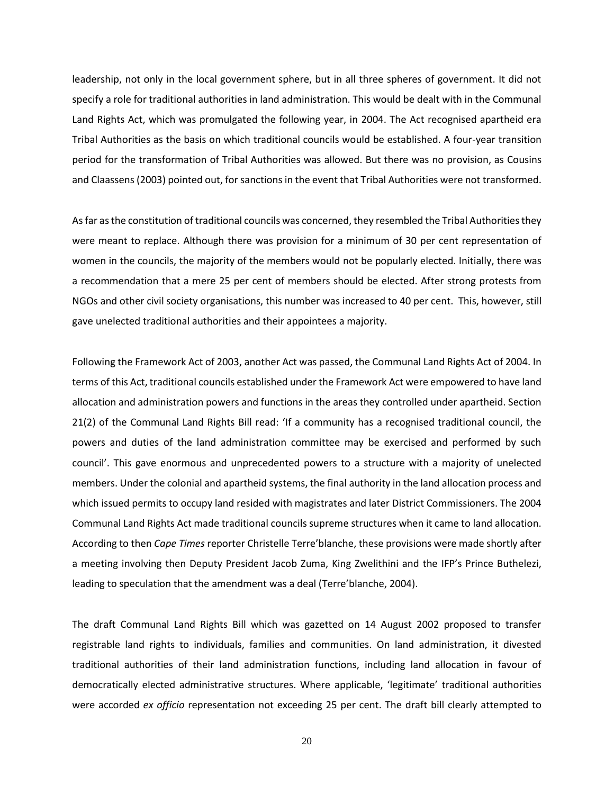leadership, not only in the local government sphere, but in all three spheres of government. It did not specify a role for traditional authorities in land administration. This would be dealt with in the Communal Land Rights Act, which was promulgated the following year, in 2004. The Act recognised apartheid era Tribal Authorities as the basis on which traditional councils would be established. A four-year transition period for the transformation of Tribal Authorities was allowed. But there was no provision, as Cousins and Claassens (2003) pointed out, for sanctions in the event that Tribal Authorities were not transformed.

As far as the constitution of traditional councils was concerned, they resembled the Tribal Authorities they were meant to replace. Although there was provision for a minimum of 30 per cent representation of women in the councils, the majority of the members would not be popularly elected. Initially, there was a recommendation that a mere 25 per cent of members should be elected. After strong protests from NGOs and other civil society organisations, this number was increased to 40 per cent. This, however, still gave unelected traditional authorities and their appointees a majority.

Following the Framework Act of 2003, another Act was passed, the Communal Land Rights Act of 2004. In terms of this Act, traditional councils established under the Framework Act were empowered to have land allocation and administration powers and functions in the areas they controlled under apartheid. Section 21(2) of the Communal Land Rights Bill read: 'If a community has a recognised traditional council, the powers and duties of the land administration committee may be exercised and performed by such council'. This gave enormous and unprecedented powers to a structure with a majority of unelected members. Under the colonial and apartheid systems, the final authority in the land allocation process and which issued permits to occupy land resided with magistrates and later District Commissioners. The 2004 Communal Land Rights Act made traditional councils supreme structures when it came to land allocation. According to then *Cape Times* reporter Christelle Terre'blanche, these provisions were made shortly after a meeting involving then Deputy President Jacob Zuma, King Zwelithini and the IFP's Prince Buthelezi, leading to speculation that the amendment was a deal (Terre'blanche, 2004).

The draft Communal Land Rights Bill which was gazetted on 14 August 2002 proposed to transfer registrable land rights to individuals, families and communities. On land administration, it divested traditional authorities of their land administration functions, including land allocation in favour of democratically elected administrative structures. Where applicable, 'legitimate' traditional authorities were accorded *ex officio* representation not exceeding 25 per cent. The draft bill clearly attempted to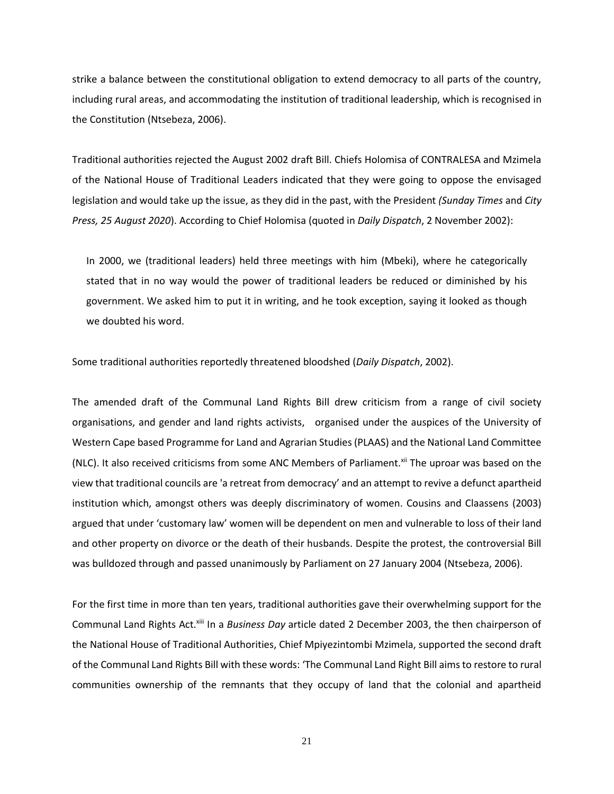strike a balance between the constitutional obligation to extend democracy to all parts of the country, including rural areas, and accommodating the institution of traditional leadership, which is recognised in the Constitution (Ntsebeza, 2006).

Traditional authorities rejected the August 2002 draft Bill. Chiefs Holomisa of CONTRALESA and Mzimela of the National House of Traditional Leaders indicated that they were going to oppose the envisaged legislation and would take up the issue, as they did in the past, with the President *(Sunday Times* and *City Press, 25 August 2020*). According to Chief Holomisa (quoted in *Daily Dispatch*, 2 November 2002):

In 2000, we (traditional leaders) held three meetings with him (Mbeki), where he categorically stated that in no way would the power of traditional leaders be reduced or diminished by his government. We asked him to put it in writing, and he took exception, saying it looked as though we doubted his word.

Some traditional authorities reportedly threatened bloodshed (*Daily Dispatch*, 2002).

The amended draft of the Communal Land Rights Bill drew criticism from a range of civil society organisations, and gender and land rights activists, organised under the auspices of the University of Western Cape based Programme for Land and Agrarian Studies (PLAAS) and the National Land Committee (NLC). It also received criticisms from some ANC Members of Parliament.<sup>xii</sup> The uproar was based on the view that traditional councils are 'a retreat from democracy' and an attempt to revive a defunct apartheid institution which, amongst others was deeply discriminatory of women. Cousins and Claassens (2003) argued that under 'customary law' women will be dependent on men and vulnerable to loss of their land and other property on divorce or the death of their husbands. Despite the protest, the controversial Bill was bulldozed through and passed unanimously by Parliament on 27 January 2004 (Ntsebeza, 2006).

For the first time in more than ten years, traditional authorities gave their overwhelming support for the Communal Land Rights Act.xiii In a *Business Day* article dated 2 December 2003, the then chairperson of the National House of Traditional Authorities, Chief Mpiyezintombi Mzimela, supported the second draft of the Communal Land Rights Bill with these words: 'The Communal Land Right Bill aims to restore to rural communities ownership of the remnants that they occupy of land that the colonial and apartheid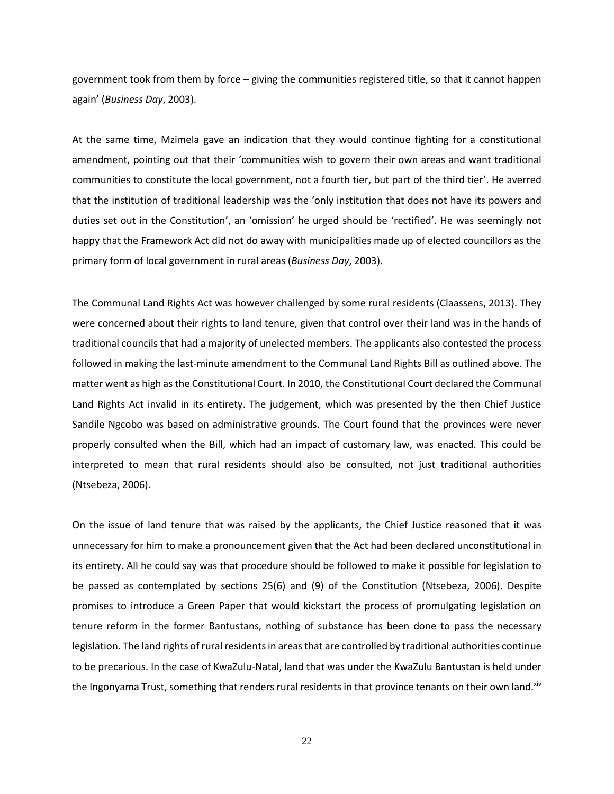government took from them by force – giving the communities registered title, so that it cannot happen again' (*Business Day*, 2003).

At the same time, Mzimela gave an indication that they would continue fighting for a constitutional amendment, pointing out that their 'communities wish to govern their own areas and want traditional communities to constitute the local government, not a fourth tier, but part of the third tier'. He averred that the institution of traditional leadership was the 'only institution that does not have its powers and duties set out in the Constitution', an 'omission' he urged should be 'rectified'. He was seemingly not happy that the Framework Act did not do away with municipalities made up of elected councillors as the primary form of local government in rural areas (*Business Day*, 2003).

The Communal Land Rights Act was however challenged by some rural residents (Claassens, 2013). They were concerned about their rights to land tenure, given that control over their land was in the hands of traditional councils that had a majority of unelected members. The applicants also contested the process followed in making the last-minute amendment to the Communal Land Rights Bill as outlined above. The matter went as high as the Constitutional Court. In 2010, the Constitutional Court declared the Communal Land Rights Act invalid in its entirety. The judgement, which was presented by the then Chief Justice Sandile Ngcobo was based on administrative grounds. The Court found that the provinces were never properly consulted when the Bill, which had an impact of customary law, was enacted. This could be interpreted to mean that rural residents should also be consulted, not just traditional authorities (Ntsebeza, 2006).

On the issue of land tenure that was raised by the applicants, the Chief Justice reasoned that it was unnecessary for him to make a pronouncement given that the Act had been declared unconstitutional in its entirety. All he could say was that procedure should be followed to make it possible for legislation to be passed as contemplated by sections 25(6) and (9) of the Constitution (Ntsebeza, 2006). Despite promises to introduce a Green Paper that would kickstart the process of promulgating legislation on tenure reform in the former Bantustans, nothing of substance has been done to pass the necessary legislation. The land rights of rural residents in areas that are controlled by traditional authorities continue to be precarious. In the case of KwaZulu-Natal, land that was under the KwaZulu Bantustan is held under the Ingonyama Trust, something that renders rural residents in that province tenants on their own land.<sup>xiv</sup>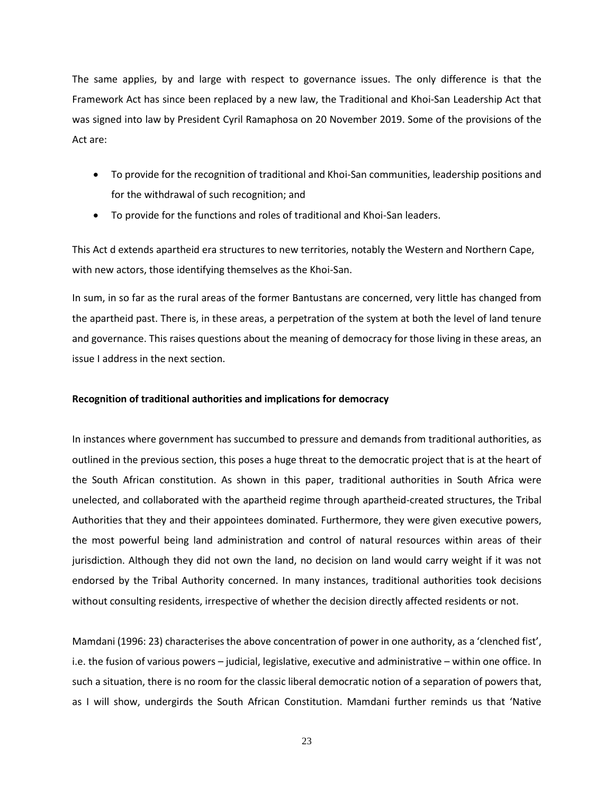The same applies, by and large with respect to governance issues. The only difference is that the Framework Act has since been replaced by a new law, the Traditional and Khoi-San Leadership Act that was signed into law by President Cyril Ramaphosa on 20 November 2019. Some of the provisions of the Act are:

- To provide for the recognition of traditional and Khoi-San communities, leadership positions and for the withdrawal of such recognition; and
- To provide for the functions and roles of traditional and Khoi-San leaders.

This Act d extends apartheid era structures to new territories, notably the Western and Northern Cape, with new actors, those identifying themselves as the Khoi-San.

In sum, in so far as the rural areas of the former Bantustans are concerned, very little has changed from the apartheid past. There is, in these areas, a perpetration of the system at both the level of land tenure and governance. This raises questions about the meaning of democracy for those living in these areas, an issue I address in the next section.

# **Recognition of traditional authorities and implications for democracy**

In instances where government has succumbed to pressure and demands from traditional authorities, as outlined in the previous section, this poses a huge threat to the democratic project that is at the heart of the South African constitution. As shown in this paper, traditional authorities in South Africa were unelected, and collaborated with the apartheid regime through apartheid-created structures, the Tribal Authorities that they and their appointees dominated. Furthermore, they were given executive powers, the most powerful being land administration and control of natural resources within areas of their jurisdiction. Although they did not own the land, no decision on land would carry weight if it was not endorsed by the Tribal Authority concerned. In many instances, traditional authorities took decisions without consulting residents, irrespective of whether the decision directly affected residents or not.

Mamdani (1996: 23) characterises the above concentration of power in one authority, as a 'clenched fist', i.e. the fusion of various powers – judicial, legislative, executive and administrative – within one office. In such a situation, there is no room for the classic liberal democratic notion of a separation of powers that, as I will show, undergirds the South African Constitution. Mamdani further reminds us that 'Native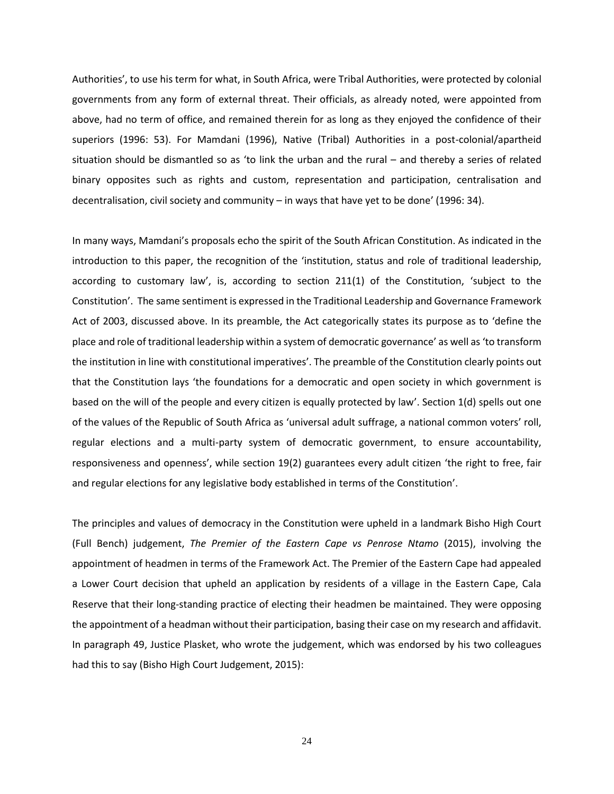Authorities', to use his term for what, in South Africa, were Tribal Authorities, were protected by colonial governments from any form of external threat. Their officials, as already noted, were appointed from above, had no term of office, and remained therein for as long as they enjoyed the confidence of their superiors (1996: 53). For Mamdani (1996), Native (Tribal) Authorities in a post-colonial/apartheid situation should be dismantled so as 'to link the urban and the rural – and thereby a series of related binary opposites such as rights and custom, representation and participation, centralisation and decentralisation, civil society and community – in ways that have yet to be done' (1996: 34).

In many ways, Mamdani's proposals echo the spirit of the South African Constitution. As indicated in the introduction to this paper, the recognition of the 'institution, status and role of traditional leadership, according to customary law', is, according to section 211(1) of the Constitution, 'subject to the Constitution'. The same sentiment is expressed in the Traditional Leadership and Governance Framework Act of 2003, discussed above. In its preamble, the Act categorically states its purpose as to 'define the place and role of traditional leadership within a system of democratic governance' as well as 'to transform the institution in line with constitutional imperatives'. The preamble of the Constitution clearly points out that the Constitution lays 'the foundations for a democratic and open society in which government is based on the will of the people and every citizen is equally protected by law'. Section 1(d) spells out one of the values of the Republic of South Africa as 'universal adult suffrage, a national common voters' roll, regular elections and a multi-party system of democratic government, to ensure accountability, responsiveness and openness', while section 19(2) guarantees every adult citizen 'the right to free, fair and regular elections for any legislative body established in terms of the Constitution'.

The principles and values of democracy in the Constitution were upheld in a landmark Bisho High Court (Full Bench) judgement, *The Premier of the Eastern Cape vs Penrose Ntamo* (2015), involving the appointment of headmen in terms of the Framework Act. The Premier of the Eastern Cape had appealed a Lower Court decision that upheld an application by residents of a village in the Eastern Cape, Cala Reserve that their long-standing practice of electing their headmen be maintained. They were opposing the appointment of a headman without their participation, basing their case on my research and affidavit. In paragraph 49, Justice Plasket, who wrote the judgement, which was endorsed by his two colleagues had this to say (Bisho High Court Judgement, 2015):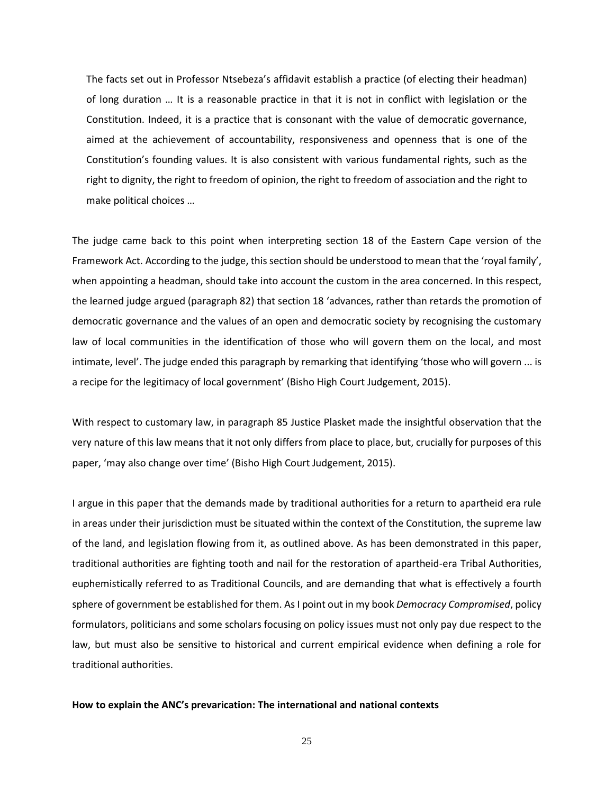The facts set out in Professor Ntsebeza's affidavit establish a practice (of electing their headman) of long duration … It is a reasonable practice in that it is not in conflict with legislation or the Constitution. Indeed, it is a practice that is consonant with the value of democratic governance, aimed at the achievement of accountability, responsiveness and openness that is one of the Constitution's founding values. It is also consistent with various fundamental rights, such as the right to dignity, the right to freedom of opinion, the right to freedom of association and the right to make political choices …

The judge came back to this point when interpreting section 18 of the Eastern Cape version of the Framework Act. According to the judge, this section should be understood to mean that the 'royal family', when appointing a headman, should take into account the custom in the area concerned. In this respect, the learned judge argued (paragraph 82) that section 18 'advances, rather than retards the promotion of democratic governance and the values of an open and democratic society by recognising the customary law of local communities in the identification of those who will govern them on the local, and most intimate, level'. The judge ended this paragraph by remarking that identifying 'those who will govern ... is a recipe for the legitimacy of local government' (Bisho High Court Judgement, 2015).

With respect to customary law, in paragraph 85 Justice Plasket made the insightful observation that the very nature of this law means that it not only differs from place to place, but, crucially for purposes of this paper, 'may also change over time' (Bisho High Court Judgement, 2015).

I argue in this paper that the demands made by traditional authorities for a return to apartheid era rule in areas under their jurisdiction must be situated within the context of the Constitution, the supreme law of the land, and legislation flowing from it, as outlined above. As has been demonstrated in this paper, traditional authorities are fighting tooth and nail for the restoration of apartheid-era Tribal Authorities, euphemistically referred to as Traditional Councils, and are demanding that what is effectively a fourth sphere of government be established for them. As I point out in my book *Democracy Compromised*, policy formulators, politicians and some scholars focusing on policy issues must not only pay due respect to the law, but must also be sensitive to historical and current empirical evidence when defining a role for traditional authorities.

#### **How to explain the ANC's prevarication: The international and national contexts**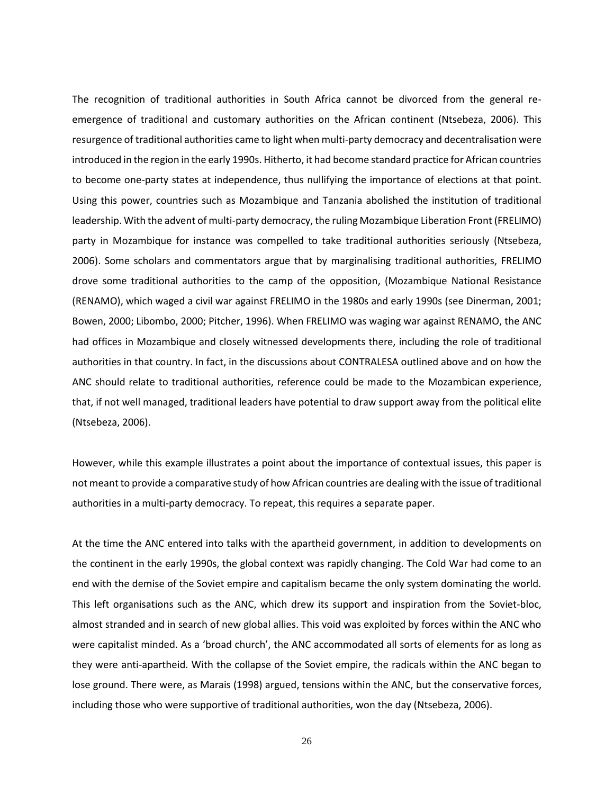The recognition of traditional authorities in South Africa cannot be divorced from the general reemergence of traditional and customary authorities on the African continent (Ntsebeza, 2006). This resurgence of traditional authorities came to light when multi-party democracy and decentralisation were introduced in the region in the early 1990s. Hitherto, it had become standard practice for African countries to become one-party states at independence, thus nullifying the importance of elections at that point. Using this power, countries such as Mozambique and Tanzania abolished the institution of traditional leadership. With the advent of multi-party democracy, the ruling Mozambique Liberation Front (FRELIMO) party in Mozambique for instance was compelled to take traditional authorities seriously (Ntsebeza, 2006). Some scholars and commentators argue that by marginalising traditional authorities, FRELIMO drove some traditional authorities to the camp of the opposition, (Mozambique National Resistance (RENAMO), which waged a civil war against FRELIMO in the 1980s and early 1990s (see Dinerman, 2001; Bowen, 2000; Libombo, 2000; Pitcher, 1996). When FRELIMO was waging war against RENAMO, the ANC had offices in Mozambique and closely witnessed developments there, including the role of traditional authorities in that country. In fact, in the discussions about CONTRALESA outlined above and on how the ANC should relate to traditional authorities, reference could be made to the Mozambican experience, that, if not well managed, traditional leaders have potential to draw support away from the political elite (Ntsebeza, 2006).

However, while this example illustrates a point about the importance of contextual issues, this paper is not meant to provide a comparative study of how African countries are dealing with the issue of traditional authorities in a multi-party democracy. To repeat, this requires a separate paper.

At the time the ANC entered into talks with the apartheid government, in addition to developments on the continent in the early 1990s, the global context was rapidly changing. The Cold War had come to an end with the demise of the Soviet empire and capitalism became the only system dominating the world. This left organisations such as the ANC, which drew its support and inspiration from the Soviet-bloc, almost stranded and in search of new global allies. This void was exploited by forces within the ANC who were capitalist minded. As a 'broad church', the ANC accommodated all sorts of elements for as long as they were anti-apartheid. With the collapse of the Soviet empire, the radicals within the ANC began to lose ground. There were, as Marais (1998) argued, tensions within the ANC, but the conservative forces, including those who were supportive of traditional authorities, won the day (Ntsebeza, 2006).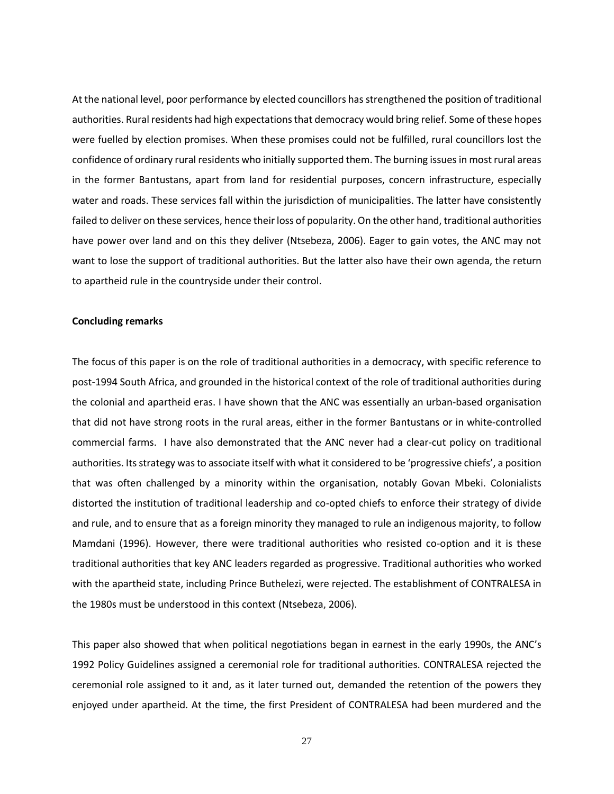At the national level, poor performance by elected councillors hasstrengthened the position of traditional authorities. Rural residents had high expectations that democracy would bring relief. Some of these hopes were fuelled by election promises. When these promises could not be fulfilled, rural councillors lost the confidence of ordinary rural residents who initially supported them. The burning issues in most rural areas in the former Bantustans, apart from land for residential purposes, concern infrastructure, especially water and roads. These services fall within the jurisdiction of municipalities. The latter have consistently failed to deliver on these services, hence their loss of popularity. On the other hand, traditional authorities have power over land and on this they deliver (Ntsebeza, 2006). Eager to gain votes, the ANC may not want to lose the support of traditional authorities. But the latter also have their own agenda, the return to apartheid rule in the countryside under their control.

#### **Concluding remarks**

The focus of this paper is on the role of traditional authorities in a democracy, with specific reference to post-1994 South Africa, and grounded in the historical context of the role of traditional authorities during the colonial and apartheid eras. I have shown that the ANC was essentially an urban-based organisation that did not have strong roots in the rural areas, either in the former Bantustans or in white-controlled commercial farms. I have also demonstrated that the ANC never had a clear-cut policy on traditional authorities. Its strategy was to associate itself with what it considered to be 'progressive chiefs', a position that was often challenged by a minority within the organisation, notably Govan Mbeki. Colonialists distorted the institution of traditional leadership and co-opted chiefs to enforce their strategy of divide and rule, and to ensure that as a foreign minority they managed to rule an indigenous majority, to follow Mamdani (1996). However, there were traditional authorities who resisted co-option and it is these traditional authorities that key ANC leaders regarded as progressive. Traditional authorities who worked with the apartheid state, including Prince Buthelezi, were rejected. The establishment of CONTRALESA in the 1980s must be understood in this context (Ntsebeza, 2006).

This paper also showed that when political negotiations began in earnest in the early 1990s, the ANC's 1992 Policy Guidelines assigned a ceremonial role for traditional authorities. CONTRALESA rejected the ceremonial role assigned to it and, as it later turned out, demanded the retention of the powers they enjoyed under apartheid. At the time, the first President of CONTRALESA had been murdered and the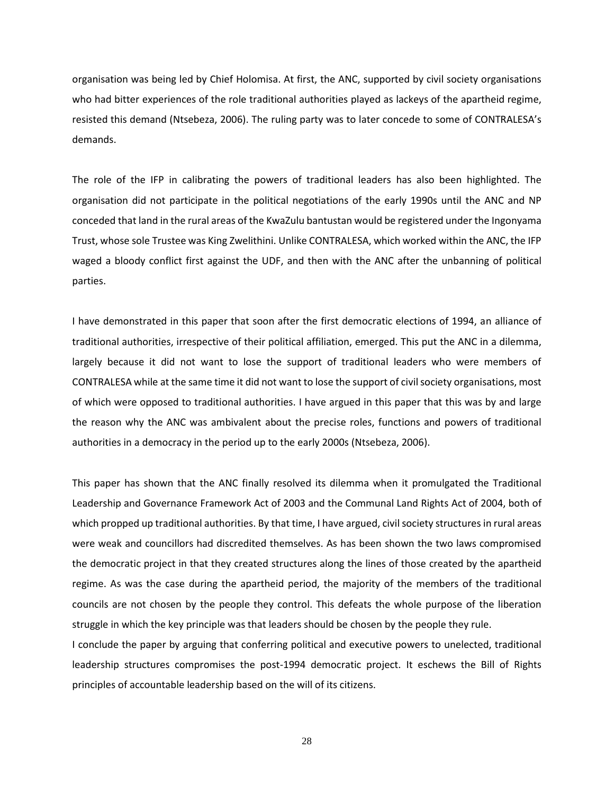organisation was being led by Chief Holomisa. At first, the ANC, supported by civil society organisations who had bitter experiences of the role traditional authorities played as lackeys of the apartheid regime, resisted this demand (Ntsebeza, 2006). The ruling party was to later concede to some of CONTRALESA's demands.

The role of the IFP in calibrating the powers of traditional leaders has also been highlighted. The organisation did not participate in the political negotiations of the early 1990s until the ANC and NP conceded that land in the rural areas of the KwaZulu bantustan would be registered under the Ingonyama Trust, whose sole Trustee was King Zwelithini. Unlike CONTRALESA, which worked within the ANC, the IFP waged a bloody conflict first against the UDF, and then with the ANC after the unbanning of political parties.

I have demonstrated in this paper that soon after the first democratic elections of 1994, an alliance of traditional authorities, irrespective of their political affiliation, emerged. This put the ANC in a dilemma, largely because it did not want to lose the support of traditional leaders who were members of CONTRALESA while at the same time it did not want to lose the support of civil society organisations, most of which were opposed to traditional authorities. I have argued in this paper that this was by and large the reason why the ANC was ambivalent about the precise roles, functions and powers of traditional authorities in a democracy in the period up to the early 2000s (Ntsebeza, 2006).

This paper has shown that the ANC finally resolved its dilemma when it promulgated the Traditional Leadership and Governance Framework Act of 2003 and the Communal Land Rights Act of 2004, both of which propped up traditional authorities. By that time, I have argued, civil society structures in rural areas were weak and councillors had discredited themselves. As has been shown the two laws compromised the democratic project in that they created structures along the lines of those created by the apartheid regime. As was the case during the apartheid period, the majority of the members of the traditional councils are not chosen by the people they control. This defeats the whole purpose of the liberation struggle in which the key principle was that leaders should be chosen by the people they rule.

I conclude the paper by arguing that conferring political and executive powers to unelected, traditional leadership structures compromises the post-1994 democratic project. It eschews the Bill of Rights principles of accountable leadership based on the will of its citizens.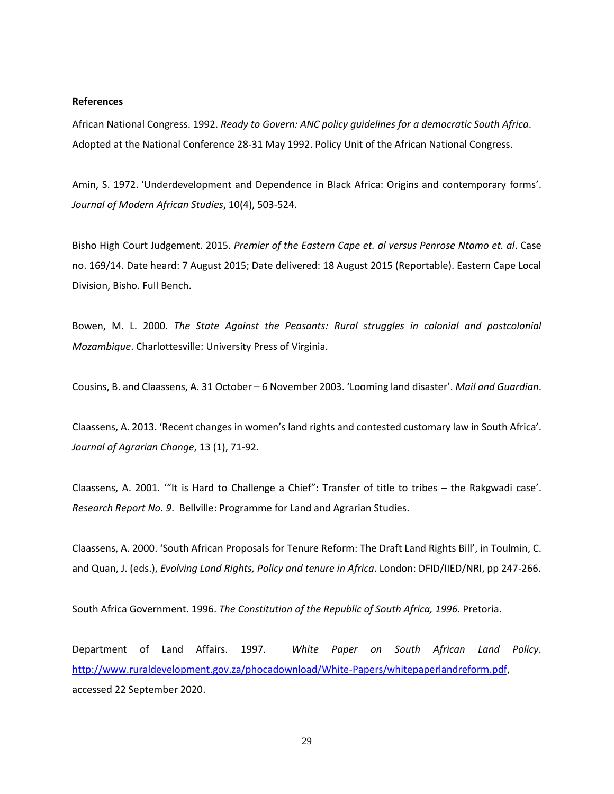#### **References**

African National Congress. 1992. *Ready to Govern: ANC policy guidelines for a democratic South Africa*. Adopted at the National Conference 28-31 May 1992. Policy Unit of the African National Congress.

Amin, S. 1972. 'Underdevelopment and Dependence in Black Africa: Origins and contemporary forms'. *Journal of Modern African Studies*, 10(4), 503-524.

Bisho High Court Judgement. 2015. *Premier of the Eastern Cape et. al versus Penrose Ntamo et. al*. Case no. 169/14. Date heard: 7 August 2015; Date delivered: 18 August 2015 (Reportable). Eastern Cape Local Division, Bisho. Full Bench.

Bowen, M. L. 2000. *The State Against the Peasants: Rural struggles in colonial and postcolonial Mozambique*. Charlottesville: University Press of Virginia.

Cousins, B. and Claassens, A. 31 October – 6 November 2003. 'Looming land disaster'. *Mail and Guardian*.

Claassens, A. 2013. 'Recent changes in women's land rights and contested customary law in South Africa'. *Journal of Agrarian Change*, 13 (1), 71-92.

Claassens, A. 2001. '"It is Hard to Challenge a Chief": Transfer of title to tribes – the Rakgwadi case'. *Research Report No. 9*. Bellville: Programme for Land and Agrarian Studies.

Claassens, A. 2000. 'South African Proposals for Tenure Reform: The Draft Land Rights Bill', in Toulmin, C. and Quan, J. (eds.), *Evolving Land Rights, Policy and tenure in Africa*. London: DFID/IIED/NRI, pp 247-266.

South Africa Government. 1996. *The Constitution of the Republic of South Africa, 1996.* Pretoria.

Department of Land Affairs. 1997. *White Paper on South African Land Policy*. [http://www.ruraldevelopment.gov.za/phocadownload/White-Papers/whitepaperlandreform.pdf,](http://www.ruraldevelopment.gov.za/phocadownload/White-Papers/whitepaperlandreform.pdf) accessed 22 September 2020.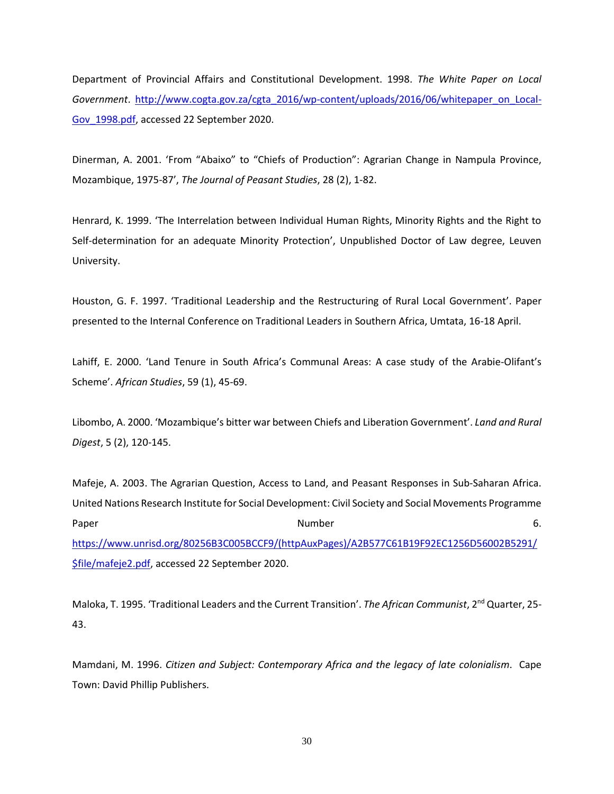Department of Provincial Affairs and Constitutional Development. 1998. *The White Paper on Local Government*. [http://www.cogta.gov.za/cgta\\_2016/wp-content/uploads/2016/06/whitepaper\\_on\\_Local-](http://www.cogta.gov.za/cgta_2016/wp-content/uploads/2016/06/whitepaper_on_Local-Gov_1998.pdf)[Gov\\_1998.pdf,](http://www.cogta.gov.za/cgta_2016/wp-content/uploads/2016/06/whitepaper_on_Local-Gov_1998.pdf) accessed 22 September 2020.

Dinerman, A. 2001. 'From "Abaixo" to "Chiefs of Production": Agrarian Change in Nampula Province, Mozambique, 1975-87', *The Journal of Peasant Studies*, 28 (2), 1-82.

Henrard, K. 1999. 'The Interrelation between Individual Human Rights, Minority Rights and the Right to Self-determination for an adequate Minority Protection', Unpublished Doctor of Law degree, Leuven University.

Houston, G. F. 1997. 'Traditional Leadership and the Restructuring of Rural Local Government'. Paper presented to the Internal Conference on Traditional Leaders in Southern Africa, Umtata, 16-18 April.

Lahiff, E. 2000. 'Land Tenure in South Africa's Communal Areas: A case study of the Arabie-Olifant's Scheme'. *African Studies*, 59 (1), 45-69.

Libombo, A. 2000. 'Mozambique's bitter war between Chiefs and Liberation Government'. *Land and Rural Digest*, 5 (2), 120-145.

Mafeje, A. 2003. The Agrarian Question, Access to Land, and Peasant Responses in Sub-Saharan Africa. United Nations Research Institute for Social Development: Civil Society and Social Movements Programme Paper **Number** 6. [https://www.unrisd.org/80256B3C005BCCF9/\(httpAuxPages\)/A2B577C61B19F92EC1256D56002B5291/](https://www.unrisd.org/80256B3C005BCCF9/(httpAuxPages)/A2B577C61B19F92EC1256D56002B5291/$file/mafeje2.pdf) [\\$file/mafeje2.pdf,](https://www.unrisd.org/80256B3C005BCCF9/(httpAuxPages)/A2B577C61B19F92EC1256D56002B5291/$file/mafeje2.pdf) accessed 22 September 2020.

Maloka, T. 1995. 'Traditional Leaders and the Current Transition'. *The African Communist*, 2<sup>nd</sup> Quarter, 25-43.

Mamdani, M. 1996. *Citizen and Subject: Contemporary Africa and the legacy of late colonialism*. Cape Town: David Phillip Publishers.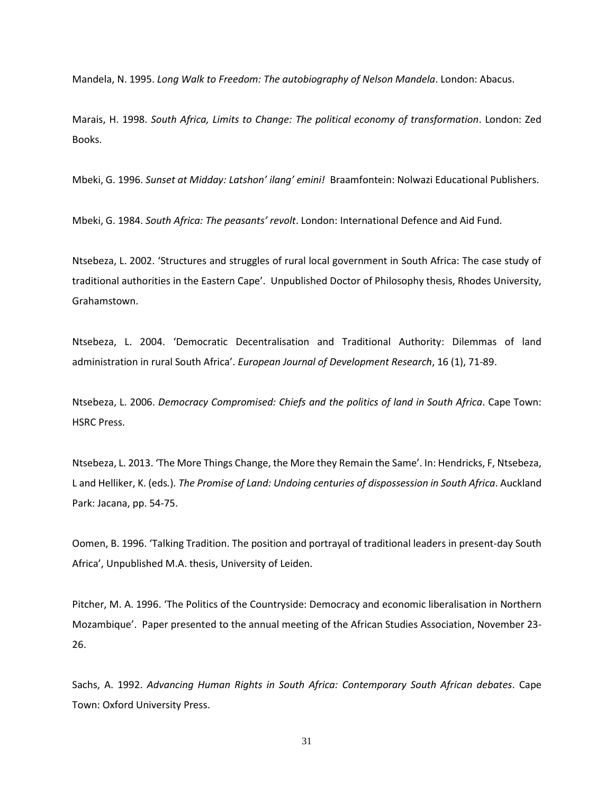Mandela, N. 1995. *Long Walk to Freedom: The autobiography of Nelson Mandela*. London: Abacus.

Marais, H. 1998. *South Africa, Limits to Change: The political economy of transformation*. London: Zed Books.

Mbeki, G. 1996. *Sunset at Midday: Latshon' ilang' emini!* Braamfontein: Nolwazi Educational Publishers.

Mbeki, G. 1984. *South Africa: The peasants' revolt*. London: International Defence and Aid Fund.

Ntsebeza, L. 2002. 'Structures and struggles of rural local government in South Africa: The case study of traditional authorities in the Eastern Cape'. Unpublished Doctor of Philosophy thesis, Rhodes University, Grahamstown.

Ntsebeza, L. 2004. 'Democratic Decentralisation and Traditional Authority: Dilemmas of land administration in rural South Africa'. *European Journal of Development Research*, 16 (1), 71-89.

Ntsebeza, L. 2006. *Democracy Compromised: Chiefs and the politics of land in South Africa*. Cape Town: HSRC Press.

Ntsebeza, L. 2013. 'The More Things Change, the More they Remain the Same'. In: Hendricks, F, Ntsebeza, L and Helliker, K. (eds*.*)*. The Promise of Land: Undoing centuries of dispossession in South Africa*. Auckland Park: Jacana, pp. 54-75.

Oomen, B. 1996. 'Talking Tradition. The position and portrayal of traditional leaders in present-day South Africa', Unpublished M.A. thesis, University of Leiden.

Pitcher, M. A. 1996. 'The Politics of the Countryside: Democracy and economic liberalisation in Northern Mozambique'. Paper presented to the annual meeting of the African Studies Association, November 23- 26.

Sachs, A. 1992. *Advancing Human Rights in South Africa: Contemporary South African debates*. Cape Town: Oxford University Press.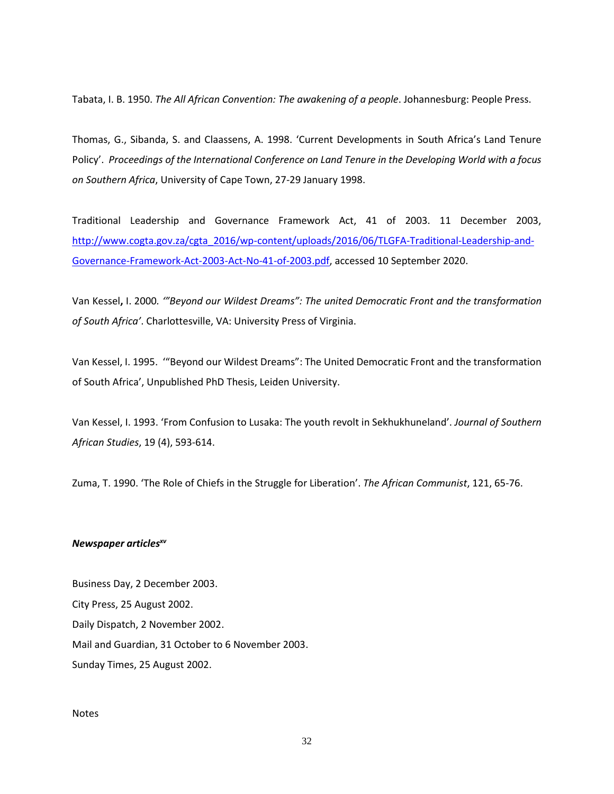Tabata, I. B. 1950. *The All African Convention: The awakening of a people*. Johannesburg: People Press.

Thomas, G., Sibanda, S. and Claassens, A. 1998. 'Current Developments in South Africa's Land Tenure Policy'. *Proceedings of the International Conference on Land Tenure in the Developing World with a focus on Southern Africa*, University of Cape Town, 27-29 January 1998.

Traditional Leadership and Governance Framework Act, 41 of 2003. 11 December 2003, [http://www.cogta.gov.za/cgta\\_2016/wp-content/uploads/2016/06/TLGFA-Traditional-Leadership-and-](http://www.cogta.gov.za/cgta_2016/wp-content/uploads/2016/06/TLGFA-Traditional-Leadership-and-Governance-Framework-Act-2003-Act-No-41-of-2003.pdf)[Governance-Framework-Act-2003-Act-No-41-of-2003.pdf,](http://www.cogta.gov.za/cgta_2016/wp-content/uploads/2016/06/TLGFA-Traditional-Leadership-and-Governance-Framework-Act-2003-Act-No-41-of-2003.pdf) accessed 10 September 2020.

Van Kessel**,** I. 2000*. '"Beyond our Wildest Dreams": The united Democratic Front and the transformation of South Africa'*. Charlottesville, VA: University Press of Virginia.

Van Kessel, I. 1995. '"Beyond our Wildest Dreams": The United Democratic Front and the transformation of South Africa', Unpublished PhD Thesis, Leiden University.

Van Kessel, I. 1993. 'From Confusion to Lusaka: The youth revolt in Sekhukhuneland'. *Journal of Southern African Studies*, 19 (4), 593-614.

Zuma, T. 1990. 'The Role of Chiefs in the Struggle for Liberation'. *The African Communist*, 121, 65-76.

# *Newspaper articlesxv*

Business Day, 2 December 2003. City Press, 25 August 2002. Daily Dispatch, 2 November 2002. Mail and Guardian, 31 October to 6 November 2003. Sunday Times, 25 August 2002.

# Notes